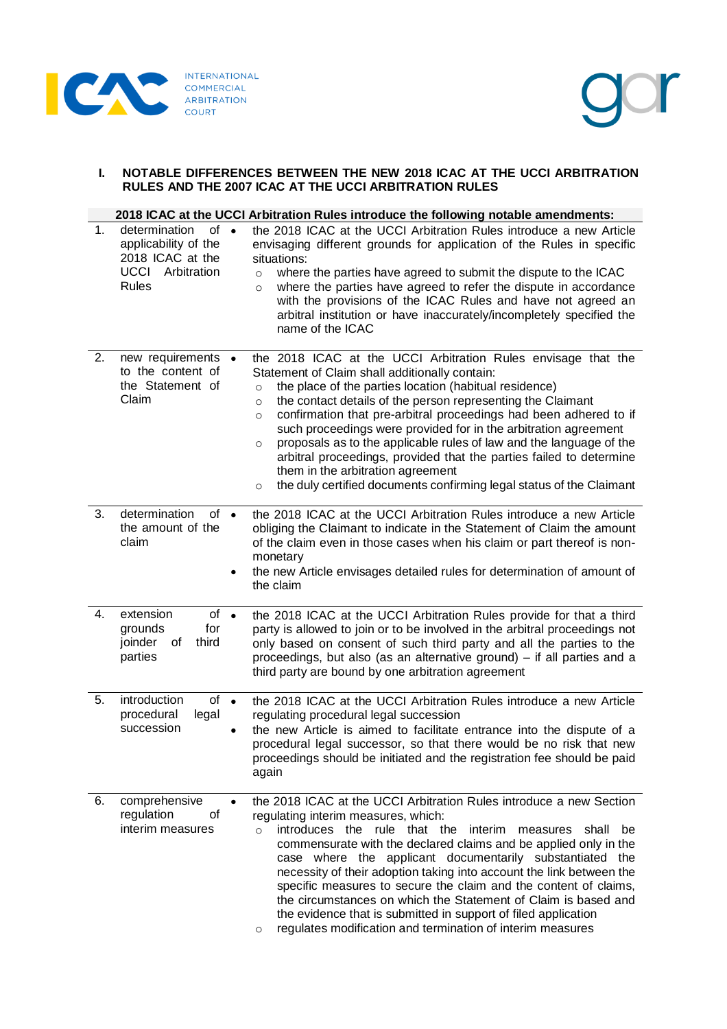



# **I. NOTABLE DIFFERENCES BETWEEN THE NEW 2018 ICAC AT THE UCCI ARBITRATION RULES AND THE 2007 ICAC AT THE UCCI ARBITRATION RULES**

|    |                                                                                                               |           | 2018 ICAC at the UCCI Arbitration Rules introduce the following notable amendments:                                                                                                                                                                                                                                                                                                                                                                                                                                                                                                                                                                                                          |
|----|---------------------------------------------------------------------------------------------------------------|-----------|----------------------------------------------------------------------------------------------------------------------------------------------------------------------------------------------------------------------------------------------------------------------------------------------------------------------------------------------------------------------------------------------------------------------------------------------------------------------------------------------------------------------------------------------------------------------------------------------------------------------------------------------------------------------------------------------|
| 1. | determination<br>of<br>applicability of the<br>2018 ICAC at the<br><b>UCCI</b><br>Arbitration<br><b>Rules</b> | $\bullet$ | the 2018 ICAC at the UCCI Arbitration Rules introduce a new Article<br>envisaging different grounds for application of the Rules in specific<br>situations:<br>where the parties have agreed to submit the dispute to the ICAC<br>$\circ$<br>where the parties have agreed to refer the dispute in accordance<br>$\circ$<br>with the provisions of the ICAC Rules and have not agreed an<br>arbitral institution or have inaccurately/incompletely specified the<br>name of the ICAC                                                                                                                                                                                                         |
| 2. | new requirements •<br>to the content of<br>the Statement of<br>Claim                                          |           | the 2018 ICAC at the UCCI Arbitration Rules envisage that the<br>Statement of Claim shall additionally contain:<br>the place of the parties location (habitual residence)<br>$\circ$<br>the contact details of the person representing the Claimant<br>$\circ$<br>confirmation that pre-arbitral proceedings had been adhered to if<br>$\circ$<br>such proceedings were provided for in the arbitration agreement<br>proposals as to the applicable rules of law and the language of the<br>$\circ$<br>arbitral proceedings, provided that the parties failed to determine<br>them in the arbitration agreement<br>the duly certified documents confirming legal status of the Claimant<br>O |
| 3. | determination<br>of •<br>the amount of the<br>claim                                                           | $\bullet$ | the 2018 ICAC at the UCCI Arbitration Rules introduce a new Article<br>obliging the Claimant to indicate in the Statement of Claim the amount<br>of the claim even in those cases when his claim or part thereof is non-<br>monetary<br>the new Article envisages detailed rules for determination of amount of<br>the claim                                                                                                                                                                                                                                                                                                                                                                 |
| 4. | extension<br>$of \bullet$<br>grounds<br>for<br>joinder<br>of<br>third<br>parties                              |           | the 2018 ICAC at the UCCI Arbitration Rules provide for that a third<br>party is allowed to join or to be involved in the arbitral proceedings not<br>only based on consent of such third party and all the parties to the<br>proceedings, but also (as an alternative ground) – if all parties and a<br>third party are bound by one arbitration agreement                                                                                                                                                                                                                                                                                                                                  |
| 5. | introduction<br>$of \bullet$<br>procedural<br>legal<br>succession                                             | $\bullet$ | the 2018 ICAC at the UCCI Arbitration Rules introduce a new Article<br>regulating procedural legal succession<br>the new Article is aimed to facilitate entrance into the dispute of a<br>procedural legal successor, so that there would be no risk that new<br>proceedings should be initiated and the registration fee should be paid<br>again                                                                                                                                                                                                                                                                                                                                            |
| 6. | comprehensive<br>οf<br>regulation<br>interim measures                                                         | $\bullet$ | the 2018 ICAC at the UCCI Arbitration Rules introduce a new Section<br>regulating interim measures, which:<br>introduces the rule that the interim<br>shall be<br>measures<br>$\circ$<br>commensurate with the declared claims and be applied only in the<br>case where the applicant documentarily substantiated the<br>necessity of their adoption taking into account the link between the<br>specific measures to secure the claim and the content of claims,<br>the circumstances on which the Statement of Claim is based and<br>the evidence that is submitted in support of filed application<br>regulates modification and termination of interim measures<br>O                     |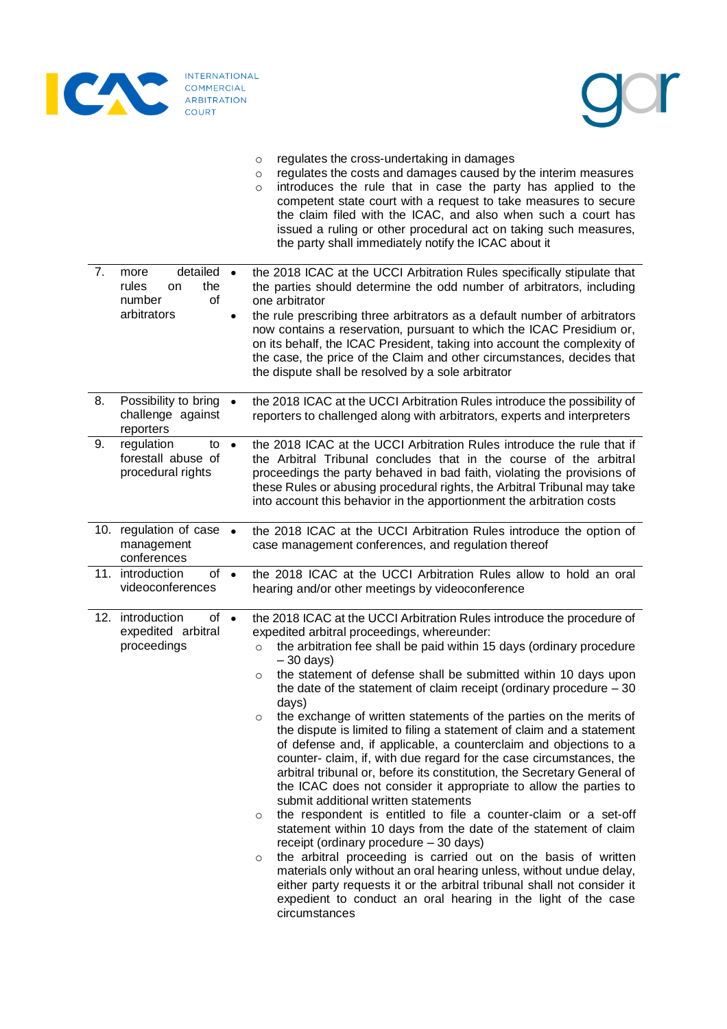



- o regulates the cross-undertaking in damages
- o regulates the costs and damages caused by the interim measures
- $\circ$  introduces the rule that in case the party has applied to the competent state court with a request to take measures to secure the claim filed with the ICAC, and also when such a court has issued a ruling or other procedural act on taking such measures, the party shall immediately notify the ICAC about it

| 7. | detailed<br>more<br>$\bullet$<br>rules<br>the<br>on<br>number<br>οf<br>arbitrators<br>$\bullet$ | the 2018 ICAC at the UCCI Arbitration Rules specifically stipulate that<br>the parties should determine the odd number of arbitrators, including<br>one arbitrator<br>the rule prescribing three arbitrators as a default number of arbitrators<br>now contains a reservation, pursuant to which the ICAC Presidium or,<br>on its behalf, the ICAC President, taking into account the complexity of<br>the case, the price of the Claim and other circumstances, decides that<br>the dispute shall be resolved by a sole arbitrator                                                                                                                                                                                                                                                                                                                                                                                                                                                                                                                                                                                                                                                                                                                                                                                                                                                         |
|----|-------------------------------------------------------------------------------------------------|---------------------------------------------------------------------------------------------------------------------------------------------------------------------------------------------------------------------------------------------------------------------------------------------------------------------------------------------------------------------------------------------------------------------------------------------------------------------------------------------------------------------------------------------------------------------------------------------------------------------------------------------------------------------------------------------------------------------------------------------------------------------------------------------------------------------------------------------------------------------------------------------------------------------------------------------------------------------------------------------------------------------------------------------------------------------------------------------------------------------------------------------------------------------------------------------------------------------------------------------------------------------------------------------------------------------------------------------------------------------------------------------|
| 8. | Possibility to bring<br>$\bullet$<br>challenge against<br>reporters                             | the 2018 ICAC at the UCCI Arbitration Rules introduce the possibility of<br>reporters to challenged along with arbitrators, experts and interpreters                                                                                                                                                                                                                                                                                                                                                                                                                                                                                                                                                                                                                                                                                                                                                                                                                                                                                                                                                                                                                                                                                                                                                                                                                                        |
| 9. | regulation<br>to<br>$\bullet$<br>forestall abuse of<br>procedural rights                        | the 2018 ICAC at the UCCI Arbitration Rules introduce the rule that if<br>the Arbitral Tribunal concludes that in the course of the arbitral<br>proceedings the party behaved in bad faith, violating the provisions of<br>these Rules or abusing procedural rights, the Arbitral Tribunal may take<br>into account this behavior in the apportionment the arbitration costs                                                                                                                                                                                                                                                                                                                                                                                                                                                                                                                                                                                                                                                                                                                                                                                                                                                                                                                                                                                                                |
|    | 10. regulation of case<br>$\bullet$<br>management<br>conferences                                | the 2018 ICAC at the UCCI Arbitration Rules introduce the option of<br>case management conferences, and regulation thereof                                                                                                                                                                                                                                                                                                                                                                                                                                                                                                                                                                                                                                                                                                                                                                                                                                                                                                                                                                                                                                                                                                                                                                                                                                                                  |
|    | 11. introduction<br>of<br>$\bullet$<br>videoconferences                                         | the 2018 ICAC at the UCCI Arbitration Rules allow to hold an oral<br>hearing and/or other meetings by videoconference                                                                                                                                                                                                                                                                                                                                                                                                                                                                                                                                                                                                                                                                                                                                                                                                                                                                                                                                                                                                                                                                                                                                                                                                                                                                       |
|    | 12. introduction<br>of •<br>expedited arbitral<br>proceedings                                   | the 2018 ICAC at the UCCI Arbitration Rules introduce the procedure of<br>expedited arbitral proceedings, whereunder:<br>the arbitration fee shall be paid within 15 days (ordinary procedure<br>$\circ$<br>$-30$ days)<br>the statement of defense shall be submitted within 10 days upon<br>$\circ$<br>the date of the statement of claim receipt (ordinary procedure $-30$<br>days)<br>the exchange of written statements of the parties on the merits of<br>$\circ$<br>the dispute is limited to filing a statement of claim and a statement<br>of defense and, if applicable, a counterclaim and objections to a<br>counter- claim, if, with due regard for the case circumstances, the<br>arbitral tribunal or, before its constitution, the Secretary General of<br>the ICAC does not consider it appropriate to allow the parties to<br>submit additional written statements<br>the respondent is entitled to file a counter-claim or a set-off<br>O<br>statement within 10 days from the date of the statement of claim<br>receipt (ordinary procedure - 30 days)<br>the arbitral proceeding is carried out on the basis of written<br>$\circ$<br>materials only without an oral hearing unless, without undue delay,<br>either party requests it or the arbitral tribunal shall not consider it<br>expedient to conduct an oral hearing in the light of the case<br>circumstances |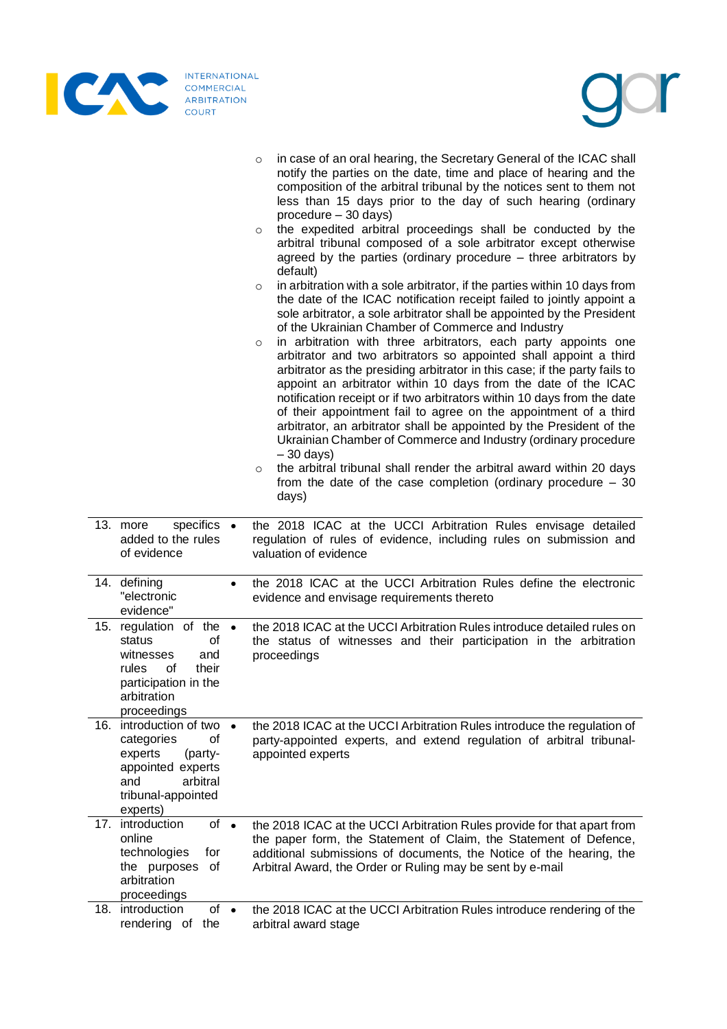

|     |                                                                                                                                               |           | in case of an oral hearing, the Secretary General of the ICAC shall<br>$\circ$<br>notify the parties on the date, time and place of hearing and the<br>composition of the arbitral tribunal by the notices sent to them not<br>less than 15 days prior to the day of such hearing (ordinary<br>procedure - 30 days)<br>the expedited arbitral proceedings shall be conducted by the<br>$\circ$<br>arbitral tribunal composed of a sole arbitrator except otherwise<br>agreed by the parties (ordinary procedure – three arbitrators by<br>default)<br>in arbitration with a sole arbitrator, if the parties within 10 days from<br>$\circ$<br>the date of the ICAC notification receipt failed to jointly appoint a<br>sole arbitrator, a sole arbitrator shall be appointed by the President<br>of the Ukrainian Chamber of Commerce and Industry<br>in arbitration with three arbitrators, each party appoints one<br>$\circ$<br>arbitrator and two arbitrators so appointed shall appoint a third<br>arbitrator as the presiding arbitrator in this case; if the party fails to<br>appoint an arbitrator within 10 days from the date of the ICAC<br>notification receipt or if two arbitrators within 10 days from the date<br>of their appointment fail to agree on the appointment of a third<br>arbitrator, an arbitrator shall be appointed by the President of the<br>Ukrainian Chamber of Commerce and Industry (ordinary procedure<br>$-30$ days)<br>the arbitral tribunal shall render the arbitral award within 20 days<br>$\circ$<br>from the date of the case completion (ordinary procedure $-30$<br>days) |
|-----|-----------------------------------------------------------------------------------------------------------------------------------------------|-----------|----------------------------------------------------------------------------------------------------------------------------------------------------------------------------------------------------------------------------------------------------------------------------------------------------------------------------------------------------------------------------------------------------------------------------------------------------------------------------------------------------------------------------------------------------------------------------------------------------------------------------------------------------------------------------------------------------------------------------------------------------------------------------------------------------------------------------------------------------------------------------------------------------------------------------------------------------------------------------------------------------------------------------------------------------------------------------------------------------------------------------------------------------------------------------------------------------------------------------------------------------------------------------------------------------------------------------------------------------------------------------------------------------------------------------------------------------------------------------------------------------------------------------------------------------------------------------------------------------------------------------|
|     | specifics •<br>13. more<br>added to the rules<br>of evidence                                                                                  |           | the 2018 ICAC at the UCCI Arbitration Rules envisage detailed<br>regulation of rules of evidence, including rules on submission and<br>valuation of evidence                                                                                                                                                                                                                                                                                                                                                                                                                                                                                                                                                                                                                                                                                                                                                                                                                                                                                                                                                                                                                                                                                                                                                                                                                                                                                                                                                                                                                                                               |
|     | 14. defining<br>"electronic<br>evidence"                                                                                                      | $\bullet$ | the 2018 ICAC at the UCCI Arbitration Rules define the electronic<br>evidence and envisage requirements thereto                                                                                                                                                                                                                                                                                                                                                                                                                                                                                                                                                                                                                                                                                                                                                                                                                                                                                                                                                                                                                                                                                                                                                                                                                                                                                                                                                                                                                                                                                                            |
| 15. | regulation of the $\bullet$<br>status<br>οf<br>witnesses<br>and<br>rules<br>0f<br>their<br>participation in the<br>arbitration<br>proceedings |           | the 2018 ICAC at the UCCI Arbitration Rules introduce detailed rules on<br>the status of witnesses and their participation in the arbitration<br>proceedings                                                                                                                                                                                                                                                                                                                                                                                                                                                                                                                                                                                                                                                                                                                                                                                                                                                                                                                                                                                                                                                                                                                                                                                                                                                                                                                                                                                                                                                               |
| 16. | introduction of two •<br>of<br>categories<br>experts<br>(party-<br>appointed experts<br>and<br>arbitral<br>tribunal-appointed<br>experts)     |           | the 2018 ICAC at the UCCI Arbitration Rules introduce the regulation of<br>party-appointed experts, and extend regulation of arbitral tribunal-<br>appointed experts                                                                                                                                                                                                                                                                                                                                                                                                                                                                                                                                                                                                                                                                                                                                                                                                                                                                                                                                                                                                                                                                                                                                                                                                                                                                                                                                                                                                                                                       |
| 17. | of •<br>introduction<br>online<br>technologies<br>for<br>the purposes<br>оf<br>arbitration<br>proceedings                                     |           | the 2018 ICAC at the UCCI Arbitration Rules provide for that apart from<br>the paper form, the Statement of Claim, the Statement of Defence,<br>additional submissions of documents, the Notice of the hearing, the<br>Arbitral Award, the Order or Ruling may be sent by e-mail                                                                                                                                                                                                                                                                                                                                                                                                                                                                                                                                                                                                                                                                                                                                                                                                                                                                                                                                                                                                                                                                                                                                                                                                                                                                                                                                           |
|     | of<br>18. introduction<br>rendering of the                                                                                                    | $\bullet$ | the 2018 ICAC at the UCCI Arbitration Rules introduce rendering of the<br>arbitral award stage                                                                                                                                                                                                                                                                                                                                                                                                                                                                                                                                                                                                                                                                                                                                                                                                                                                                                                                                                                                                                                                                                                                                                                                                                                                                                                                                                                                                                                                                                                                             |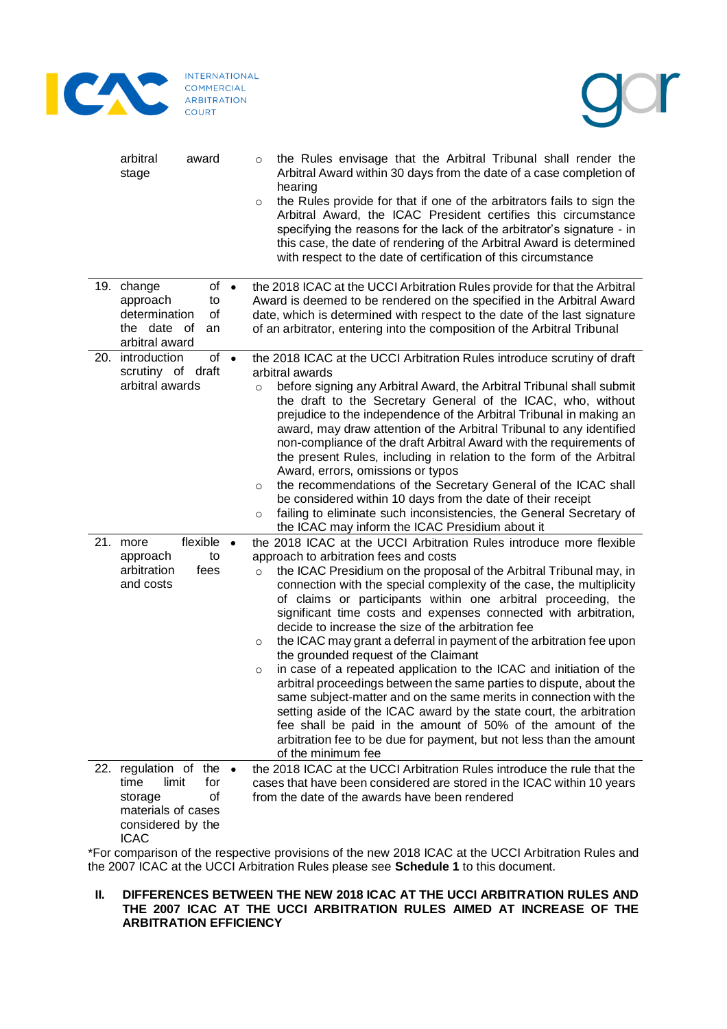

**INTERNATIONAL** COMMERCIAL<br>ARBITRATION COURT



| arbitral<br>award<br>stage                                                                                                         | $\circ$<br>$\circ$            | the Rules envisage that the Arbitral Tribunal shall render the<br>Arbitral Award within 30 days from the date of a case completion of<br>hearing<br>the Rules provide for that if one of the arbitrators fails to sign the<br>Arbitral Award, the ICAC President certifies this circumstance<br>specifying the reasons for the lack of the arbitrator's signature - in<br>this case, the date of rendering of the Arbitral Award is determined<br>with respect to the date of certification of this circumstance                                                                                                                                                                                                                                                                                                                                                                                                                                      |
|------------------------------------------------------------------------------------------------------------------------------------|-------------------------------|-------------------------------------------------------------------------------------------------------------------------------------------------------------------------------------------------------------------------------------------------------------------------------------------------------------------------------------------------------------------------------------------------------------------------------------------------------------------------------------------------------------------------------------------------------------------------------------------------------------------------------------------------------------------------------------------------------------------------------------------------------------------------------------------------------------------------------------------------------------------------------------------------------------------------------------------------------|
| $of \bullet$<br>19. change<br>approach<br>to<br>determination<br>οf<br>the date of<br>an<br>arbitral award                         |                               | the 2018 ICAC at the UCCI Arbitration Rules provide for that the Arbitral<br>Award is deemed to be rendered on the specified in the Arbitral Award<br>date, which is determined with respect to the date of the last signature<br>of an arbitrator, entering into the composition of the Arbitral Tribunal                                                                                                                                                                                                                                                                                                                                                                                                                                                                                                                                                                                                                                            |
| 20. introduction<br>of •<br>scrutiny of draft<br>arbitral awards<br>flexible •<br>21. more                                         | $\circ$<br>$\circ$<br>$\circ$ | the 2018 ICAC at the UCCI Arbitration Rules introduce scrutiny of draft<br>arbitral awards<br>before signing any Arbitral Award, the Arbitral Tribunal shall submit<br>the draft to the Secretary General of the ICAC, who, without<br>prejudice to the independence of the Arbitral Tribunal in making an<br>award, may draw attention of the Arbitral Tribunal to any identified<br>non-compliance of the draft Arbitral Award with the requirements of<br>the present Rules, including in relation to the form of the Arbitral<br>Award, errors, omissions or typos<br>the recommendations of the Secretary General of the ICAC shall<br>be considered within 10 days from the date of their receipt<br>failing to eliminate such inconsistencies, the General Secretary of<br>the ICAC may inform the ICAC Presidium about it<br>the 2018 ICAC at the UCCI Arbitration Rules introduce more flexible                                              |
| approach<br>to<br>arbitration<br>fees<br>and costs                                                                                 | $\circ$<br>$\circ$<br>$\circ$ | approach to arbitration fees and costs<br>the ICAC Presidium on the proposal of the Arbitral Tribunal may, in<br>connection with the special complexity of the case, the multiplicity<br>of claims or participants within one arbitral proceeding, the<br>significant time costs and expenses connected with arbitration,<br>decide to increase the size of the arbitration fee<br>the ICAC may grant a deferral in payment of the arbitration fee upon<br>the grounded request of the Claimant<br>in case of a repeated application to the ICAC and initiation of the<br>arbitral proceedings between the same parties to dispute, about the<br>same subject-matter and on the same merits in connection with the<br>setting aside of the ICAC award by the state court, the arbitration<br>fee shall be paid in the amount of 50% of the amount of the<br>arbitration fee to be due for payment, but not less than the amount<br>of the minimum fee |
| 22. regulation of the $\bullet$<br>time<br>for<br>limit<br>of<br>storage<br>materials of cases<br>considered by the<br><b>ICAC</b> |                               | the 2018 ICAC at the UCCI Arbitration Rules introduce the rule that the<br>cases that have been considered are stored in the ICAC within 10 years<br>from the date of the awards have been rendered                                                                                                                                                                                                                                                                                                                                                                                                                                                                                                                                                                                                                                                                                                                                                   |

\*For comparison of the respective provisions of the new 2018 ICAC at the UCCI Arbitration Rules and the 2007 ICAC at the UCCI Arbitration Rules please see **Schedule 1** to this document.

# **II. DIFFERENCES BETWEEN THE NEW 2018 ICAC AT THE UCCI ARBITRATION RULES AND THE 2007 ICAC AT THE UCCI ARBITRATION RULES AIMED AT INCREASE OF THE ARBITRATION EFFICIENCY**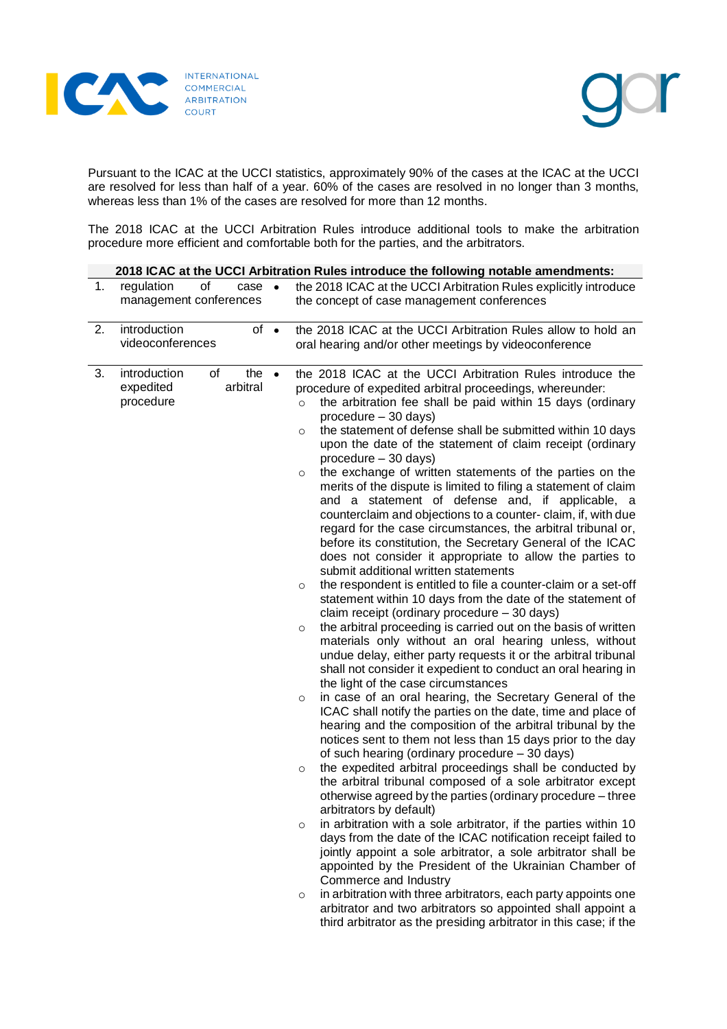



Pursuant to the ICAC at the UCCI statistics, approximately 90% of the cases at the ICAC at the UCCI are resolved for less than half of a year. 60% of the cases are resolved in no longer than 3 months, whereas less than 1% of the cases are resolved for more than 12 months.

The 2018 ICAC at the UCCI Arbitration Rules introduce additional tools to make the arbitration procedure more efficient and comfortable both for the parties, and the arbitrators.

|    | 2018 ICAC at the UCCI Arbitration Rules introduce the following notable amendments: |                                 |           |                                                                                                                                                                                                                                                                                                                                                                                                                                                                                                                                                                                                                                                                                                                                                                                                                                                                                                                                                                                                                                                                                                                                                                                                                                                                                                                                                                                                                                                                                                                                                                                                                                                                                                                                                                                                                                                                                                                                                                                                                                                                                                                                                                                                                                                                                                                                                                                                                                                                              |  |
|----|-------------------------------------------------------------------------------------|---------------------------------|-----------|------------------------------------------------------------------------------------------------------------------------------------------------------------------------------------------------------------------------------------------------------------------------------------------------------------------------------------------------------------------------------------------------------------------------------------------------------------------------------------------------------------------------------------------------------------------------------------------------------------------------------------------------------------------------------------------------------------------------------------------------------------------------------------------------------------------------------------------------------------------------------------------------------------------------------------------------------------------------------------------------------------------------------------------------------------------------------------------------------------------------------------------------------------------------------------------------------------------------------------------------------------------------------------------------------------------------------------------------------------------------------------------------------------------------------------------------------------------------------------------------------------------------------------------------------------------------------------------------------------------------------------------------------------------------------------------------------------------------------------------------------------------------------------------------------------------------------------------------------------------------------------------------------------------------------------------------------------------------------------------------------------------------------------------------------------------------------------------------------------------------------------------------------------------------------------------------------------------------------------------------------------------------------------------------------------------------------------------------------------------------------------------------------------------------------------------------------------------------------|--|
| 1. | regulation<br>of<br>management conferences                                          | case                            | $\bullet$ | the 2018 ICAC at the UCCI Arbitration Rules explicitly introduce<br>the concept of case management conferences                                                                                                                                                                                                                                                                                                                                                                                                                                                                                                                                                                                                                                                                                                                                                                                                                                                                                                                                                                                                                                                                                                                                                                                                                                                                                                                                                                                                                                                                                                                                                                                                                                                                                                                                                                                                                                                                                                                                                                                                                                                                                                                                                                                                                                                                                                                                                               |  |
| 2. | introduction<br>videoconferences                                                    | $of \bullet$                    |           | the 2018 ICAC at the UCCI Arbitration Rules allow to hold an<br>oral hearing and/or other meetings by videoconference                                                                                                                                                                                                                                                                                                                                                                                                                                                                                                                                                                                                                                                                                                                                                                                                                                                                                                                                                                                                                                                                                                                                                                                                                                                                                                                                                                                                                                                                                                                                                                                                                                                                                                                                                                                                                                                                                                                                                                                                                                                                                                                                                                                                                                                                                                                                                        |  |
| 3. | introduction<br>expedited<br>procedure                                              | of<br>the $\bullet$<br>arbitral |           | the 2018 ICAC at the UCCI Arbitration Rules introduce the<br>procedure of expedited arbitral proceedings, whereunder:<br>the arbitration fee shall be paid within 15 days (ordinary<br>$\circ$<br>procedure - 30 days)<br>the statement of defense shall be submitted within 10 days<br>$\circ$<br>upon the date of the statement of claim receipt (ordinary<br>procedure - 30 days)<br>the exchange of written statements of the parties on the<br>$\circ$<br>merits of the dispute is limited to filing a statement of claim<br>and a statement of defense and, if applicable, a<br>counterclaim and objections to a counter- claim, if, with due<br>regard for the case circumstances, the arbitral tribunal or,<br>before its constitution, the Secretary General of the ICAC<br>does not consider it appropriate to allow the parties to<br>submit additional written statements<br>the respondent is entitled to file a counter-claim or a set-off<br>$\circ$<br>statement within 10 days from the date of the statement of<br>claim receipt (ordinary procedure - 30 days)<br>the arbitral proceeding is carried out on the basis of written<br>$\circ$<br>materials only without an oral hearing unless, without<br>undue delay, either party requests it or the arbitral tribunal<br>shall not consider it expedient to conduct an oral hearing in<br>the light of the case circumstances<br>in case of an oral hearing, the Secretary General of the<br>$\circ$<br>ICAC shall notify the parties on the date, time and place of<br>hearing and the composition of the arbitral tribunal by the<br>notices sent to them not less than 15 days prior to the day<br>of such hearing (ordinary procedure - 30 days)<br>the expedited arbitral proceedings shall be conducted by<br>$\circ$<br>the arbitral tribunal composed of a sole arbitrator except<br>otherwise agreed by the parties (ordinary procedure - three<br>arbitrators by default)<br>in arbitration with a sole arbitrator, if the parties within 10<br>$\circ$<br>days from the date of the ICAC notification receipt failed to<br>jointly appoint a sole arbitrator, a sole arbitrator shall be<br>appointed by the President of the Ukrainian Chamber of<br>Commerce and Industry<br>in arbitration with three arbitrators, each party appoints one<br>$\circ$<br>arbitrator and two arbitrators so appointed shall appoint a<br>third arbitrator as the presiding arbitrator in this case; if the |  |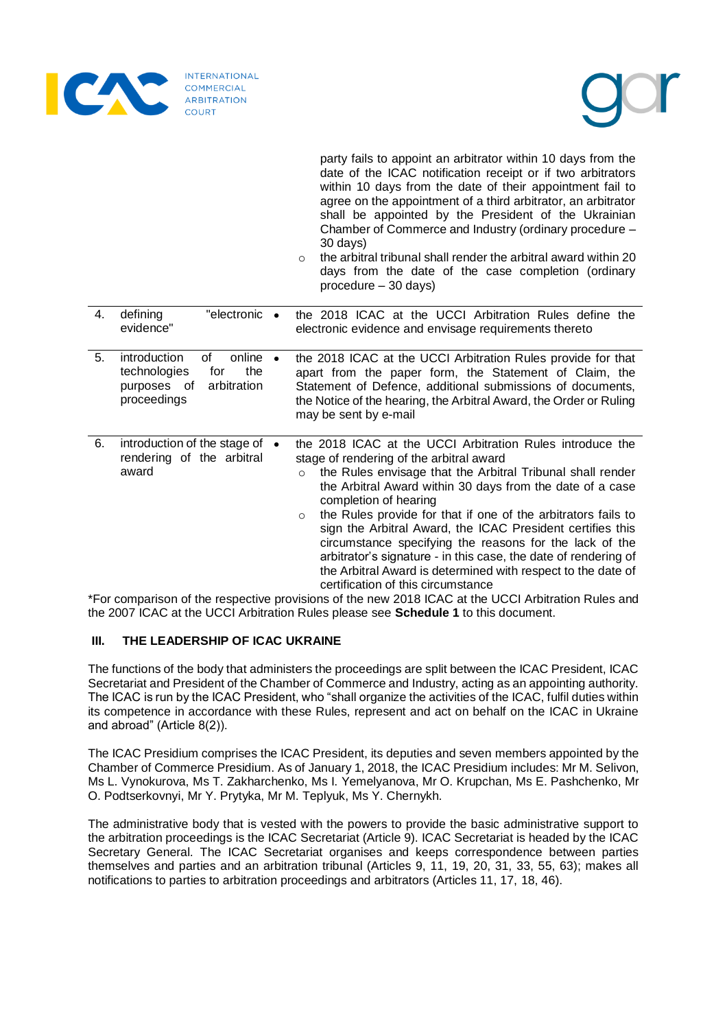

**icr** 

|    |                                                                                                                   |  | party fails to appoint an arbitrator within 10 days from the<br>date of the ICAC notification receipt or if two arbitrators<br>within 10 days from the date of their appointment fail to<br>agree on the appointment of a third arbitrator, an arbitrator<br>shall be appointed by the President of the Ukrainian<br>Chamber of Commerce and Industry (ordinary procedure -<br>30 days)<br>the arbitral tribunal shall render the arbitral award within 20<br>$\Omega$<br>days from the date of the case completion (ordinary<br>procedure - 30 days)                                                                                              |
|----|-------------------------------------------------------------------------------------------------------------------|--|----------------------------------------------------------------------------------------------------------------------------------------------------------------------------------------------------------------------------------------------------------------------------------------------------------------------------------------------------------------------------------------------------------------------------------------------------------------------------------------------------------------------------------------------------------------------------------------------------------------------------------------------------|
| 4. | "electronic •<br>defining<br>evidence"                                                                            |  | the 2018 ICAC at the UCCI Arbitration Rules define the<br>electronic evidence and envisage requirements thereto                                                                                                                                                                                                                                                                                                                                                                                                                                                                                                                                    |
| 5. | introduction<br>of<br>online $\bullet$<br>the<br>technologies<br>for<br>purposes of<br>arbitration<br>proceedings |  | the 2018 ICAC at the UCCI Arbitration Rules provide for that<br>apart from the paper form, the Statement of Claim, the<br>Statement of Defence, additional submissions of documents,<br>the Notice of the hearing, the Arbitral Award, the Order or Ruling<br>may be sent by e-mail                                                                                                                                                                                                                                                                                                                                                                |
| 6. | introduction of the stage of<br>$\bullet$<br>rendering of the arbitral<br>award                                   |  | the 2018 ICAC at the UCCI Arbitration Rules introduce the<br>stage of rendering of the arbitral award<br>the Rules envisage that the Arbitral Tribunal shall render<br>$\circ$<br>the Arbitral Award within 30 days from the date of a case<br>completion of hearing<br>the Rules provide for that if one of the arbitrators fails to<br>$\circ$<br>sign the Arbitral Award, the ICAC President certifies this<br>circumstance specifying the reasons for the lack of the<br>arbitrator's signature - in this case, the date of rendering of<br>the Arbitral Award is determined with respect to the date of<br>certification of this circumstance |

\*For comparison of the respective provisions of the new 2018 ICAC at the UCCI Arbitration Rules and the 2007 ICAC at the UCCI Arbitration Rules please see **Schedule 1** to this document.

# **III. THE LEADERSHIP OF ICAC UKRAINE**

The functions of the body that administers the proceedings are split between the ICAC President, ICAC Secretariat and President of the Chamber of Commerce and Industry, acting as an appointing authority. The ICAC is run by the ICAC President, who "shall organize the activities of the ICAC, fulfil duties within its competence in accordance with these Rules, represent and act on behalf on the ICAC in Ukraine and abroad" (Article 8(2)).

The ICAC Presidium comprises the ICAC President, its deputies and seven members appointed by the Chamber of Commerce Presidium. As of January 1, 2018, the ICAC Presidium includes: Mr M. Selivon, Ms L. Vynokurova, Ms T. Zakharchenko, Ms I. Yemelyanova, Mr O. Krupchan, Ms E. Pashchenko, Mr O. Podtserkovnyi, Mr Y. Prytyka, Mr M. Teplyuk, Ms Y. Chernykh.

The administrative body that is vested with the powers to provide the basic administrative support to the arbitration proceedings is the ICAC Secretariat (Article 9). ICAC Secretariat is headed by the ICAC Secretary General. The ICAC Secretariat organises and keeps correspondence between parties themselves and parties and an arbitration tribunal (Articles 9, 11, 19, 20, 31, 33, 55, 63); makes all notifications to parties to arbitration proceedings and arbitrators (Articles 11, 17, 18, 46).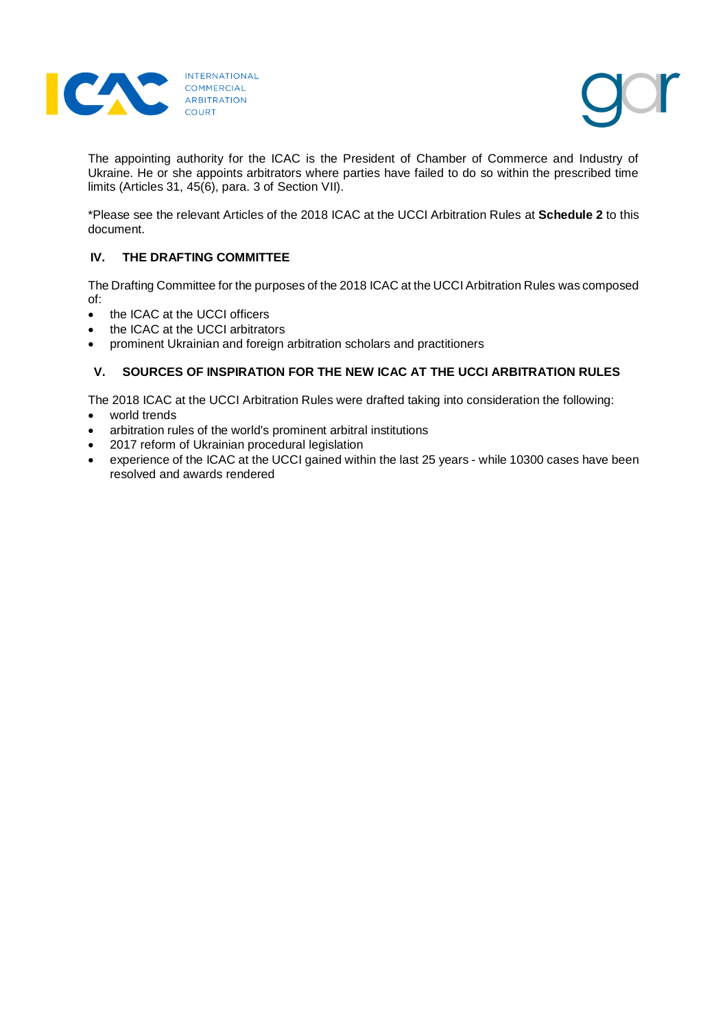



The appointing authority for the ICAC is the President of Chamber of Commerce and Industry of Ukraine. He or she appoints arbitrators where parties have failed to do so within the prescribed time limits (Articles 31, 45(6), para. 3 of Section VII).

\*Please see the relevant Articles of the 2018 ICAC at the UCCI Arbitration Rules at **Schedule 2** to this document.

# **IV. THE DRAFTING COMMITTEE**

The Drafting Committee for the purposes of the 2018 ICAC at the UCCI Arbitration Rules was composed of:

- the ICAC at the UCCI officers
- the ICAC at the UCCI arbitrators
- prominent Ukrainian and foreign arbitration scholars and practitioners

# **V. SOURCES OF INSPIRATION FOR THE NEW ICAC AT THE UCCI ARBITRATION RULES**

The 2018 ICAC at the UCCI Arbitration Rules were drafted taking into consideration the following:

- world trends
- arbitration rules of the world's prominent arbitral institutions
- 2017 reform of Ukrainian procedural legislation
- experience of the ICAC at the UCCI gained within the last 25 years while 10300 cases have been resolved and awards rendered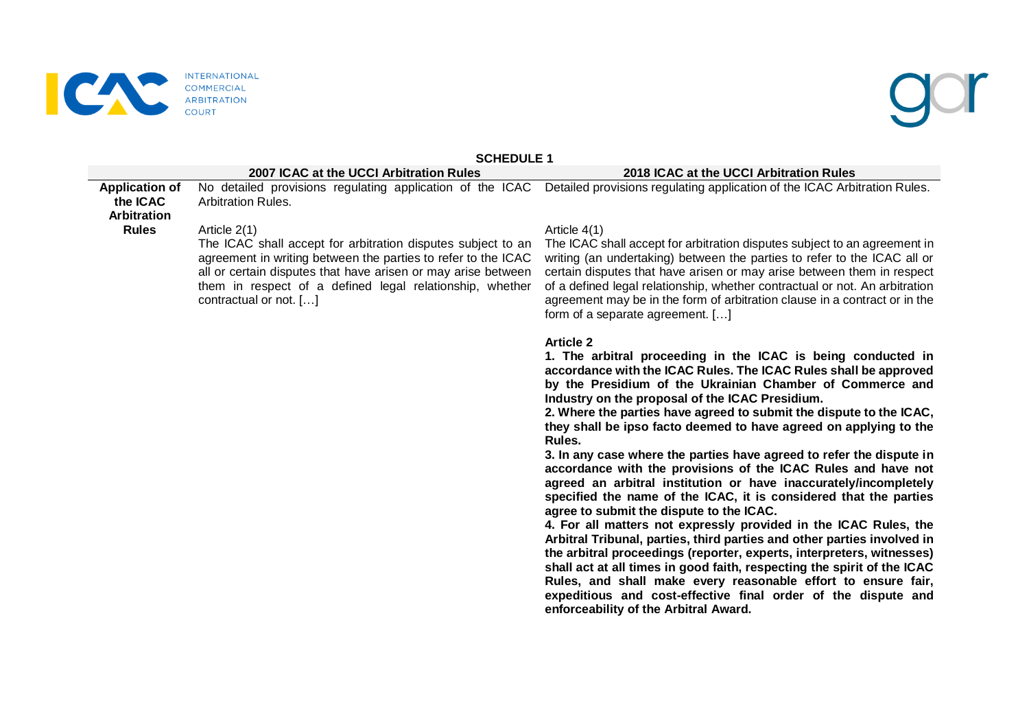

## **INTERNATIONAL** COMMERCIAL ARBITRATION

## **SCHEDULE 1**

### **2007 ICAC at the UCCI Arbitration Rules 2018 ICAC at the UCCI Arbitration Rules**

**Application of the ICAC Arbitration Rules** No detailed provisions regulating application of the ICAC Detailed provisions regulating application of the ICAC Arbitration Rules. Arbitration Rules. Article 2(1)

The ICAC shall accept for arbitration disputes subject to an agreement in writing between the parties to refer to the ICAC all or certain disputes that have arisen or may arise between them in respect of a defined legal relationship, whether contractual or not. […]

### Article 4(1)

The ICAC shall accept for arbitration disputes subject to an agreement in writing (an undertaking) between the parties to refer to the ICAC all or certain disputes that have arisen or may arise between them in respect of a defined legal relationship, whether contractual or not. An arbitration agreement may be in the form of arbitration clause in a contract or in the form of a separate agreement. […]

### **Article 2**

**1. The arbitral proceeding in the ICAC is being conducted in accordance with the ICAC Rules. The ICAC Rules shall be approved by the Presidium of the Ukrainian Chamber of Commerce and Industry on the proposal of the ICAC Presidium.**

**2. Where the parties have agreed to submit the dispute to the ICAC, they shall be ipso facto deemed to have agreed on applying to the Rules.**

**3. In any case where the parties have agreed to refer the dispute in accordance with the provisions of the ICAC Rules and have not agreed an arbitral institution or have inaccurately/incompletely specified the name of the ICAC, it is considered that the parties agree to submit the dispute to the ICAC.**

**4. For all matters not expressly provided in the ICAC Rules, the Arbitral Tribunal, parties, third parties and other parties involved in the arbitral proceedings (reporter, experts, interpreters, witnesses) shall act at all times in good faith, respecting the spirit of the ICAC Rules, and shall make every reasonable effort to ensure fair, expeditious and cost-effective final order of the dispute and enforceability of the Arbitral Award.**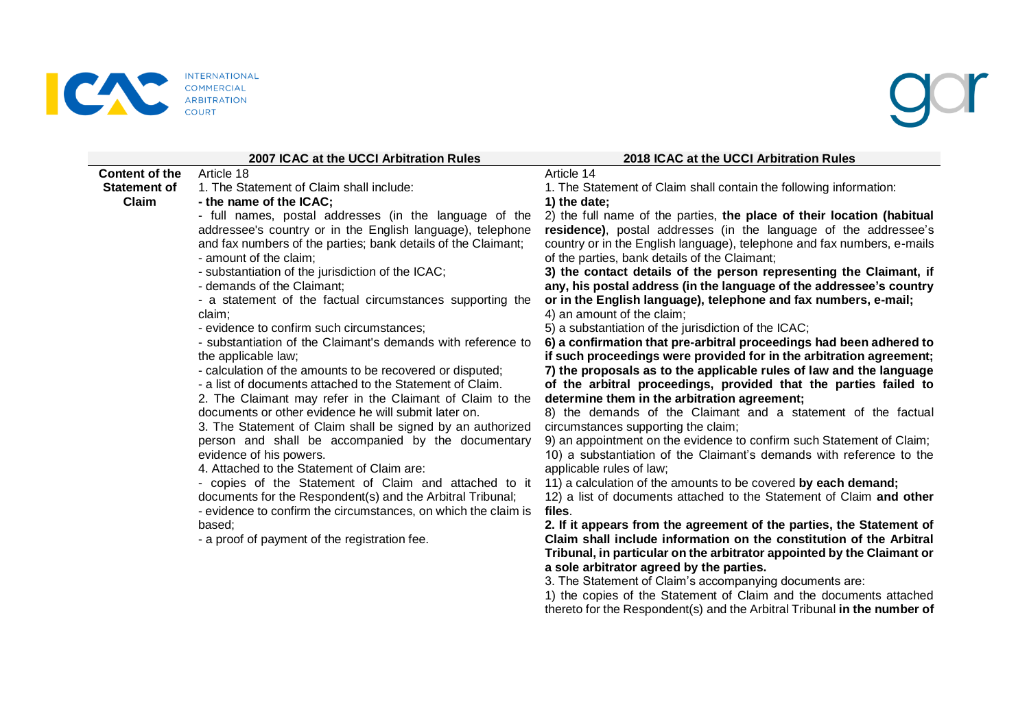

|                                                       | 2007 ICAC at the UCCI Arbitration Rules                                                                                                                                                                                                                                                                                                                                                                                                                                                                                                                                                                                                                                                                                                                                                                                                                                                                                                                                                                                                                                                                                                                                                                                                                                                            | 2018 ICAC at the UCCI Arbitration Rules                                                                                                                                                                                                                                                                                                                                                                                                                                                                                                                                                                                                                                                                                                                                                                                                                                                                                                                                                                                                                                                                                                                                                                                                                                                                                                                                                                                                                                                                                                                                                                                                                                                                                                                                                                                                                                                                                                              |
|-------------------------------------------------------|----------------------------------------------------------------------------------------------------------------------------------------------------------------------------------------------------------------------------------------------------------------------------------------------------------------------------------------------------------------------------------------------------------------------------------------------------------------------------------------------------------------------------------------------------------------------------------------------------------------------------------------------------------------------------------------------------------------------------------------------------------------------------------------------------------------------------------------------------------------------------------------------------------------------------------------------------------------------------------------------------------------------------------------------------------------------------------------------------------------------------------------------------------------------------------------------------------------------------------------------------------------------------------------------------|------------------------------------------------------------------------------------------------------------------------------------------------------------------------------------------------------------------------------------------------------------------------------------------------------------------------------------------------------------------------------------------------------------------------------------------------------------------------------------------------------------------------------------------------------------------------------------------------------------------------------------------------------------------------------------------------------------------------------------------------------------------------------------------------------------------------------------------------------------------------------------------------------------------------------------------------------------------------------------------------------------------------------------------------------------------------------------------------------------------------------------------------------------------------------------------------------------------------------------------------------------------------------------------------------------------------------------------------------------------------------------------------------------------------------------------------------------------------------------------------------------------------------------------------------------------------------------------------------------------------------------------------------------------------------------------------------------------------------------------------------------------------------------------------------------------------------------------------------------------------------------------------------------------------------------------------------|
| <b>Content of the</b><br><b>Statement of</b><br>Claim | Article 18<br>1. The Statement of Claim shall include:<br>- the name of the ICAC;<br>- full names, postal addresses (in the language of the<br>addressee's country or in the English language), telephone<br>and fax numbers of the parties; bank details of the Claimant;<br>- amount of the claim;<br>- substantiation of the jurisdiction of the ICAC;<br>- demands of the Claimant:<br>- a statement of the factual circumstances supporting the<br>claim;<br>- evidence to confirm such circumstances;<br>- substantiation of the Claimant's demands with reference to<br>the applicable law;<br>- calculation of the amounts to be recovered or disputed;<br>- a list of documents attached to the Statement of Claim.<br>2. The Claimant may refer in the Claimant of Claim to the<br>documents or other evidence he will submit later on.<br>3. The Statement of Claim shall be signed by an authorized<br>person and shall be accompanied by the documentary<br>evidence of his powers.<br>4. Attached to the Statement of Claim are:<br>- copies of the Statement of Claim and attached to it<br>documents for the Respondent(s) and the Arbitral Tribunal;<br>- evidence to confirm the circumstances, on which the claim is<br>based;<br>- a proof of payment of the registration fee. | Article 14<br>1. The Statement of Claim shall contain the following information:<br>1) the date;<br>2) the full name of the parties, the place of their location (habitual<br>residence), postal addresses (in the language of the addressee's<br>country or in the English language), telephone and fax numbers, e-mails<br>of the parties, bank details of the Claimant;<br>3) the contact details of the person representing the Claimant, if<br>any, his postal address (in the language of the addressee's country<br>or in the English language), telephone and fax numbers, e-mail;<br>4) an amount of the claim;<br>5) a substantiation of the jurisdiction of the ICAC;<br>6) a confirmation that pre-arbitral proceedings had been adhered to<br>if such proceedings were provided for in the arbitration agreement;<br>7) the proposals as to the applicable rules of law and the language<br>of the arbitral proceedings, provided that the parties failed to<br>determine them in the arbitration agreement;<br>8) the demands of the Claimant and a statement of the factual<br>circumstances supporting the claim;<br>9) an appointment on the evidence to confirm such Statement of Claim;<br>10) a substantiation of the Claimant's demands with reference to the<br>applicable rules of law;<br>11) a calculation of the amounts to be covered by each demand;<br>12) a list of documents attached to the Statement of Claim and other<br>files.<br>2. If it appears from the agreement of the parties, the Statement of<br>Claim shall include information on the constitution of the Arbitral<br>Tribunal, in particular on the arbitrator appointed by the Claimant or<br>a sole arbitrator agreed by the parties.<br>3. The Statement of Claim's accompanying documents are:<br>1) the copies of the Statement of Claim and the documents attached<br>thereto for the Respondent(s) and the Arbitral Tribunal in the number of |
|                                                       |                                                                                                                                                                                                                                                                                                                                                                                                                                                                                                                                                                                                                                                                                                                                                                                                                                                                                                                                                                                                                                                                                                                                                                                                                                                                                                    |                                                                                                                                                                                                                                                                                                                                                                                                                                                                                                                                                                                                                                                                                                                                                                                                                                                                                                                                                                                                                                                                                                                                                                                                                                                                                                                                                                                                                                                                                                                                                                                                                                                                                                                                                                                                                                                                                                                                                      |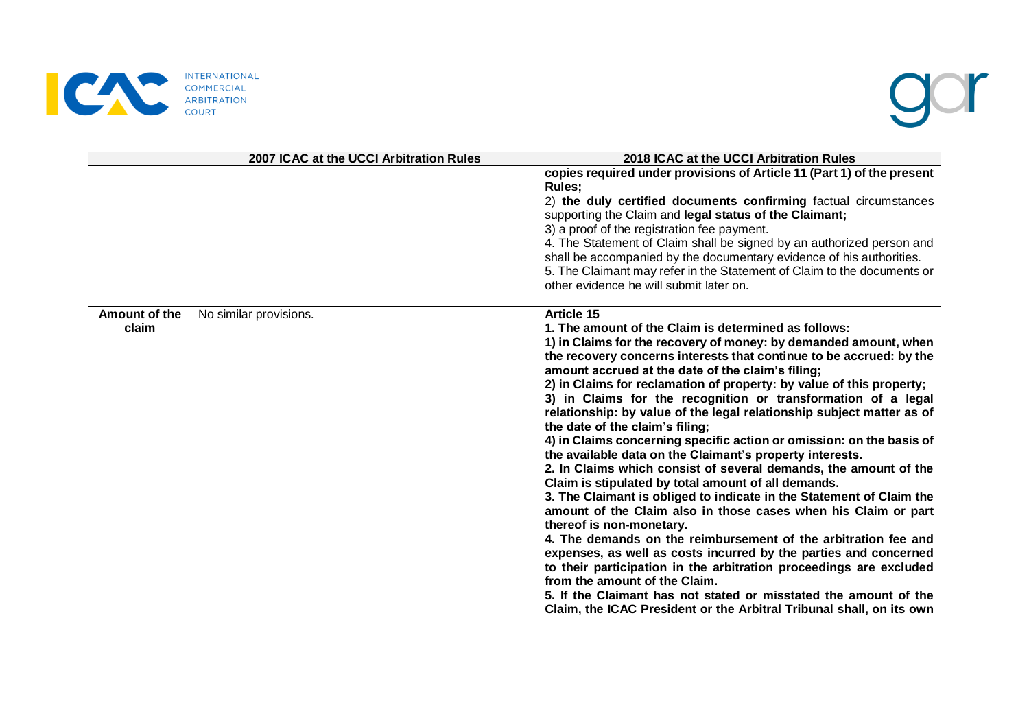



|                        | 2007 ICAC at the UCCI Arbitration Rules | 2018 ICAC at the UCCI Arbitration Rules                                                                                                                                                                                                                                                                                                                                                                                                                                                                                                                                                                                                                                                                                                                                                                                                                                                                                                                                                                                                                                                                                                                                                                                                                                                                                                                      |
|------------------------|-----------------------------------------|--------------------------------------------------------------------------------------------------------------------------------------------------------------------------------------------------------------------------------------------------------------------------------------------------------------------------------------------------------------------------------------------------------------------------------------------------------------------------------------------------------------------------------------------------------------------------------------------------------------------------------------------------------------------------------------------------------------------------------------------------------------------------------------------------------------------------------------------------------------------------------------------------------------------------------------------------------------------------------------------------------------------------------------------------------------------------------------------------------------------------------------------------------------------------------------------------------------------------------------------------------------------------------------------------------------------------------------------------------------|
|                        |                                         | copies required under provisions of Article 11 (Part 1) of the present<br>Rules;<br>2) the duly certified documents confirming factual circumstances<br>supporting the Claim and legal status of the Claimant;<br>3) a proof of the registration fee payment.<br>4. The Statement of Claim shall be signed by an authorized person and<br>shall be accompanied by the documentary evidence of his authorities.<br>5. The Claimant may refer in the Statement of Claim to the documents or<br>other evidence he will submit later on.                                                                                                                                                                                                                                                                                                                                                                                                                                                                                                                                                                                                                                                                                                                                                                                                                         |
| Amount of the<br>claim | No similar provisions.                  | <b>Article 15</b><br>1. The amount of the Claim is determined as follows:<br>1) in Claims for the recovery of money: by demanded amount, when<br>the recovery concerns interests that continue to be accrued: by the<br>amount accrued at the date of the claim's filing;<br>2) in Claims for reclamation of property: by value of this property;<br>3) in Claims for the recognition or transformation of a legal<br>relationship: by value of the legal relationship subject matter as of<br>the date of the claim's filing;<br>4) in Claims concerning specific action or omission: on the basis of<br>the available data on the Claimant's property interests.<br>2. In Claims which consist of several demands, the amount of the<br>Claim is stipulated by total amount of all demands.<br>3. The Claimant is obliged to indicate in the Statement of Claim the<br>amount of the Claim also in those cases when his Claim or part<br>thereof is non-monetary.<br>4. The demands on the reimbursement of the arbitration fee and<br>expenses, as well as costs incurred by the parties and concerned<br>to their participation in the arbitration proceedings are excluded<br>from the amount of the Claim.<br>5. If the Claimant has not stated or misstated the amount of the<br>Claim, the ICAC President or the Arbitral Tribunal shall, on its own |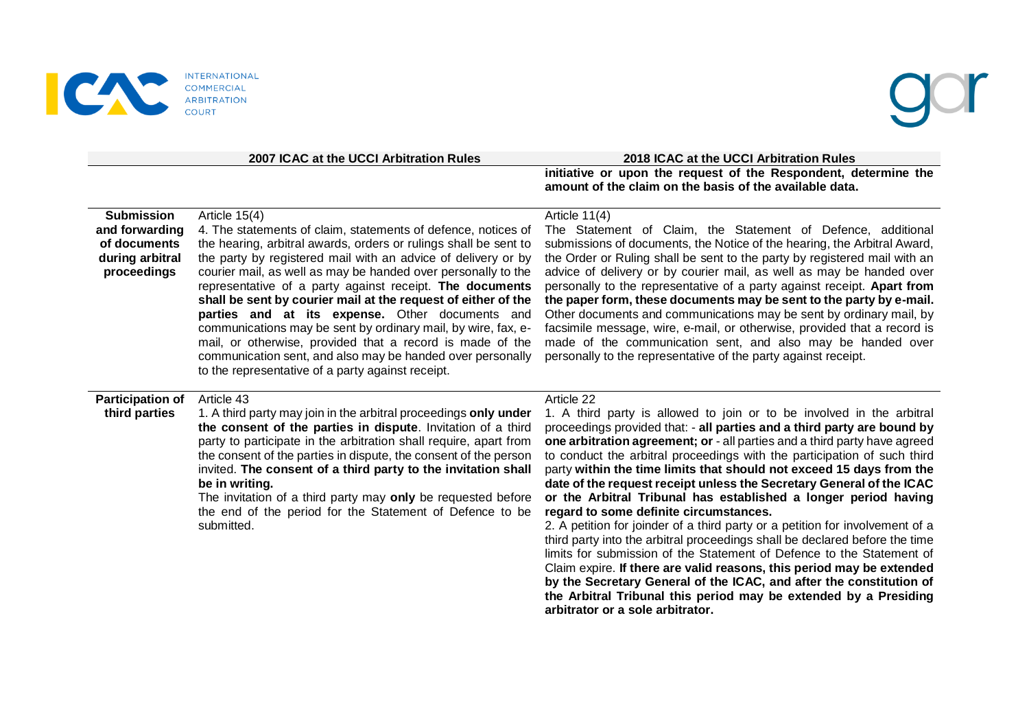

### **2007 ICAC at the UCCI Arbitration Rules 2018 ICAC at the UCCI Arbitration Rules**

**initiative or upon the request of the Respondent, determine the amount of the claim on the basis of the available data.**

### **Submission and forwarding of documents during arbitral proceedings** Article 15(4) 4. The statements of claim, statements of defence, notices of the hearing, arbitral awards, orders or rulings shall be sent to the party by registered mail with an advice of delivery or by courier mail, as well as may be handed over personally to the representative of a party against receipt. **The documents shall be sent by courier mail at the request of either of the parties and at its expense.** Other documents and communications may be sent by ordinary mail, by wire, fax, email, or otherwise, provided that a record is made of the communication sent, and also may be handed over personally to the representative of a party against receipt. Article 11(4) The Statement of Claim, the Statement of Defence, additional submissions of documents, the Notice of the hearing, the Arbitral Award, the Order or Ruling shall be sent to the party by registered mail with an advice of delivery or by courier mail, as well as may be handed over personally to the representative of a party against receipt. **Apart from the paper form, these documents may be sent to the party by e-mail.** Other documents and communications may be sent by ordinary mail, by facsimile message, wire, e-mail, or otherwise, provided that a record is made of the communication sent, and also may be handed over personally to the representative of the party against receipt. **Participation of third parties** Article 43 1. A third party may join in the arbitral proceedings **only under the consent of the parties in dispute**. Invitation of a third party to participate in the arbitration shall require, apart from the consent of the parties in dispute, the consent of the person invited. **The consent of a third party to the invitation shall be in writing.**  The invitation of a third party may **only** be requested before the end of the period for the Statement of Defence to be submitted. Article 22 1. A third party is allowed to join or to be involved in the arbitral proceedings provided that: - **all parties and a third party are bound by one arbitration agreement; or** - all parties and a third party have agreed to conduct the arbitral proceedings with the participation of such third party **within the time limits that should not exceed 15 days from the date of the request receipt unless the Secretary General of the ICAC or the Arbitral Tribunal has established a longer period having regard to some definite circumstances.** 2. A petition for joinder of a third party or a petition for involvement of a third party into the arbitral proceedings shall be declared before the time limits for submission of the Statement of Defence to the Statement of Claim expire. **If there are valid reasons, this period may be extended by the Secretary General of the ICAC, and after the constitution of the Arbitral Tribunal this period may be extended by a Presiding**

**arbitrator or a sole arbitrator.**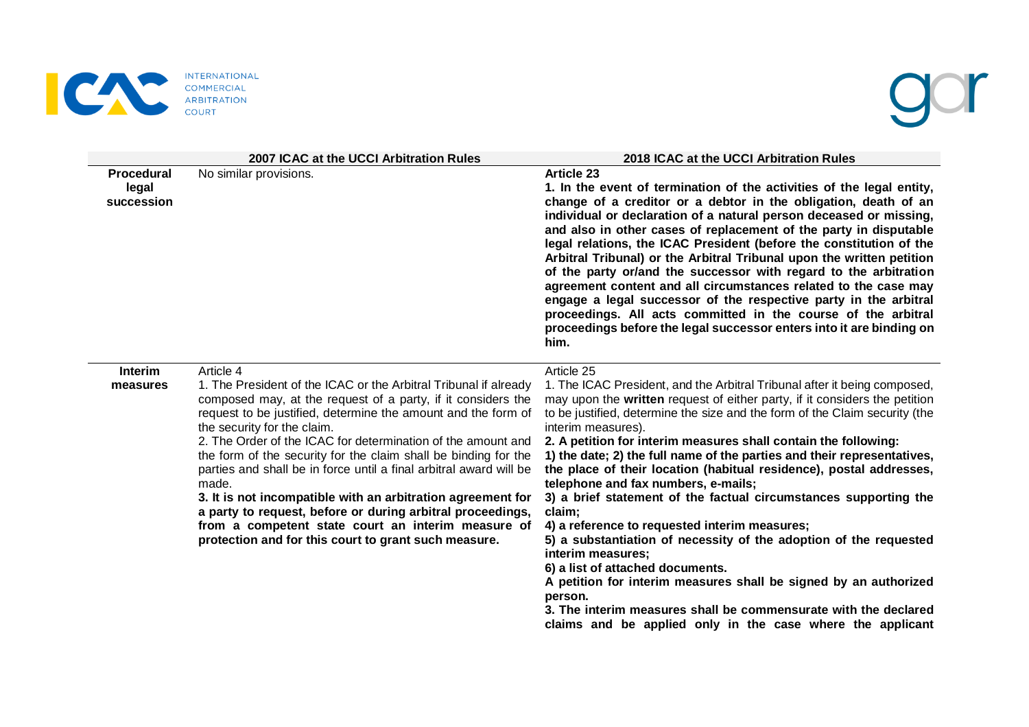

# gor

|                                   | 2007 ICAC at the UCCI Arbitration Rules                                                                                                                                                                                                                                                                                                                                                                                                                                                                                                                                                                                                                                                                    | 2018 ICAC at the UCCI Arbitration Rules                                                                                                                                                                                                                                                                                                                                                                                                                                                                                                                                                                                                                                                                                                                                                                                                                                                                                                                                                                             |
|-----------------------------------|------------------------------------------------------------------------------------------------------------------------------------------------------------------------------------------------------------------------------------------------------------------------------------------------------------------------------------------------------------------------------------------------------------------------------------------------------------------------------------------------------------------------------------------------------------------------------------------------------------------------------------------------------------------------------------------------------------|---------------------------------------------------------------------------------------------------------------------------------------------------------------------------------------------------------------------------------------------------------------------------------------------------------------------------------------------------------------------------------------------------------------------------------------------------------------------------------------------------------------------------------------------------------------------------------------------------------------------------------------------------------------------------------------------------------------------------------------------------------------------------------------------------------------------------------------------------------------------------------------------------------------------------------------------------------------------------------------------------------------------|
| Procedural<br>legal<br>succession | No similar provisions.                                                                                                                                                                                                                                                                                                                                                                                                                                                                                                                                                                                                                                                                                     | <b>Article 23</b><br>1. In the event of termination of the activities of the legal entity,<br>change of a creditor or a debtor in the obligation, death of an<br>individual or declaration of a natural person deceased or missing,<br>and also in other cases of replacement of the party in disputable<br>legal relations, the ICAC President (before the constitution of the<br>Arbitral Tribunal) or the Arbitral Tribunal upon the written petition<br>of the party or/and the successor with regard to the arbitration<br>agreement content and all circumstances related to the case may<br>engage a legal successor of the respective party in the arbitral<br>proceedings. All acts committed in the course of the arbitral<br>proceedings before the legal successor enters into it are binding on<br>him.                                                                                                                                                                                                |
| <b>Interim</b><br>measures        | Article 4<br>1. The President of the ICAC or the Arbitral Tribunal if already<br>composed may, at the request of a party, if it considers the<br>request to be justified, determine the amount and the form of<br>the security for the claim.<br>2. The Order of the ICAC for determination of the amount and<br>the form of the security for the claim shall be binding for the<br>parties and shall be in force until a final arbitral award will be<br>made.<br>3. It is not incompatible with an arbitration agreement for<br>a party to request, before or during arbitral proceedings,<br>from a competent state court an interim measure of<br>protection and for this court to grant such measure. | Article 25<br>1. The ICAC President, and the Arbitral Tribunal after it being composed,<br>may upon the written request of either party, if it considers the petition<br>to be justified, determine the size and the form of the Claim security (the<br>interim measures).<br>2. A petition for interim measures shall contain the following:<br>1) the date; 2) the full name of the parties and their representatives,<br>the place of their location (habitual residence), postal addresses,<br>telephone and fax numbers, e-mails;<br>3) a brief statement of the factual circumstances supporting the<br>claim;<br>4) a reference to requested interim measures;<br>5) a substantiation of necessity of the adoption of the requested<br>interim measures;<br>6) a list of attached documents.<br>A petition for interim measures shall be signed by an authorized<br>person.<br>3. The interim measures shall be commensurate with the declared<br>claims and be applied only in the case where the applicant |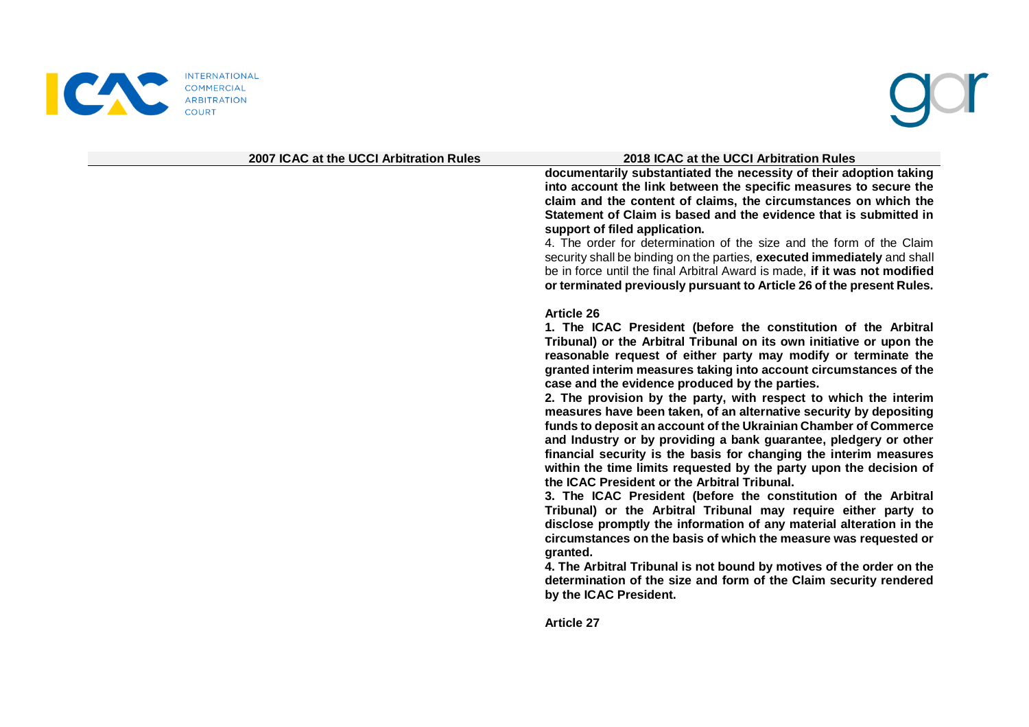

### **2007 ICAC at the UCCI Arbitration Rules 2018 ICAC at the UCCI Arbitration Rules**

**documentarily substantiated the necessity of their adoption taking into account the link between the specific measures to secure the claim and the content of claims, the circumstances on which the Statement of Claim is based and the evidence that is submitted in support of filed application.** 

4. The order for determination of the size and the form of the Claim security shall be binding on the parties, **executed immediately** and shall be in force until the final Arbitral Award is made, **if it was not modified or terminated previously pursuant to Article 26 of the present Rules.**

### **Article 26**

**1. The ICAC President (before the constitution of the Arbitral Tribunal) or the Arbitral Tribunal on its own initiative or upon the reasonable request of either party may modify or terminate the granted interim measures taking into account circumstances of the case and the evidence produced by the parties.**

**2. The provision by the party, with respect to which the interim measures have been taken, of an alternative security by depositing funds to deposit an account of the Ukrainian Chamber of Commerce and Industry or by providing a bank guarantee, pledgery or other financial security is the basis for changing the interim measures within the time limits requested by the party upon the decision of the ICAC President or the Arbitral Tribunal.** 

**3. The ICAC President (before the constitution of the Arbitral Tribunal) or the Arbitral Tribunal may require either party to disclose promptly the information of any material alteration in the circumstances on the basis of which the measure was requested or granted.** 

**4. The Arbitral Tribunal is not bound by motives of the order on the determination of the size and form of the Claim security rendered by the ICAC President.**

**Article 27**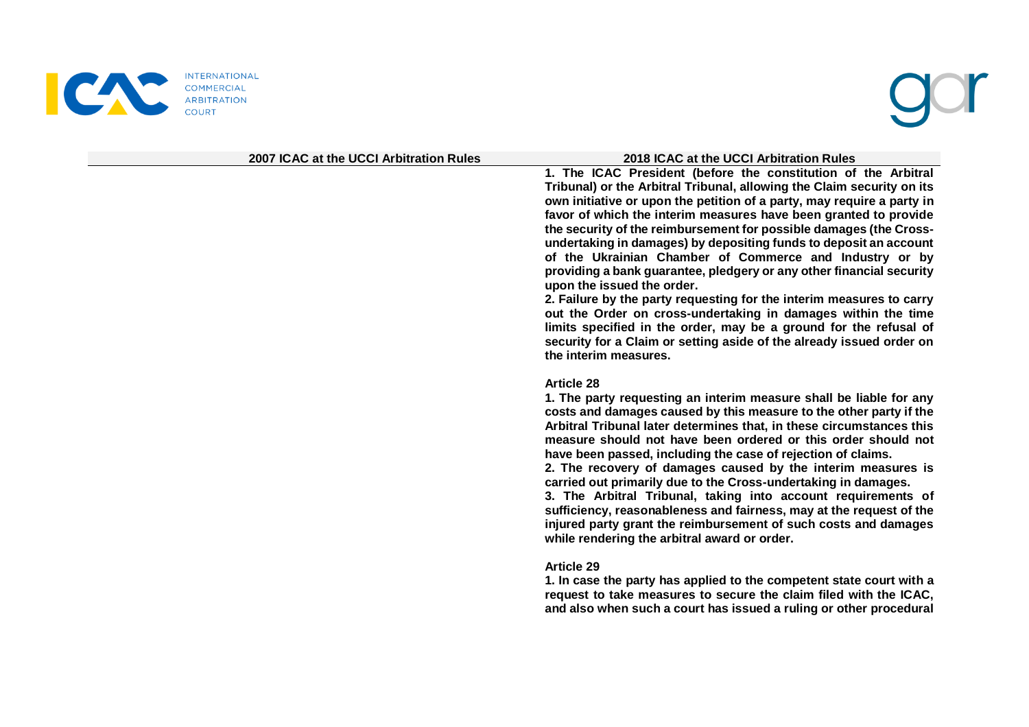

### **2007 ICAC at the UCCI Arbitration Rules 2018 ICAC at the UCCI Arbitration Rules**

**1. The ICAC President (before the constitution of the Arbitral Tribunal) or the Arbitral Tribunal, allowing the Claim security on its own initiative or upon the petition of a party, may require a party in favor of which the interim measures have been granted to provide the security of the reimbursement for possible damages (the Crossundertaking in damages) by depositing funds to deposit an account of the Ukrainian Chamber of Commerce and Industry or by providing a bank guarantee, pledgery or any other financial security upon the issued the order.**

**2. Failure by the party requesting for the interim measures to carry out the Order on cross-undertaking in damages within the time limits specified in the order, may be a ground for the refusal of security for a Claim or setting aside of the already issued order on the interim measures.**

### **Article 28**

**1. The party requesting an interim measure shall be liable for any costs and damages caused by this measure to the other party if the Arbitral Tribunal later determines that, in these circumstances this measure should not have been ordered or this order should not have been passed, including the case of rejection of claims.** 

**2. The recovery of damages caused by the interim measures is carried out primarily due to the Cross-undertaking in damages.** 

**3. The Arbitral Tribunal, taking into account requirements of sufficiency, reasonableness and fairness, may at the request of the injured party grant the reimbursement of such costs and damages while rendering the arbitral award or order.**

### **Article 29**

**1. In case the party has applied to the competent state court with a request to take measures to secure the claim filed with the ICAC, and also when such a court has issued a ruling or other procedural**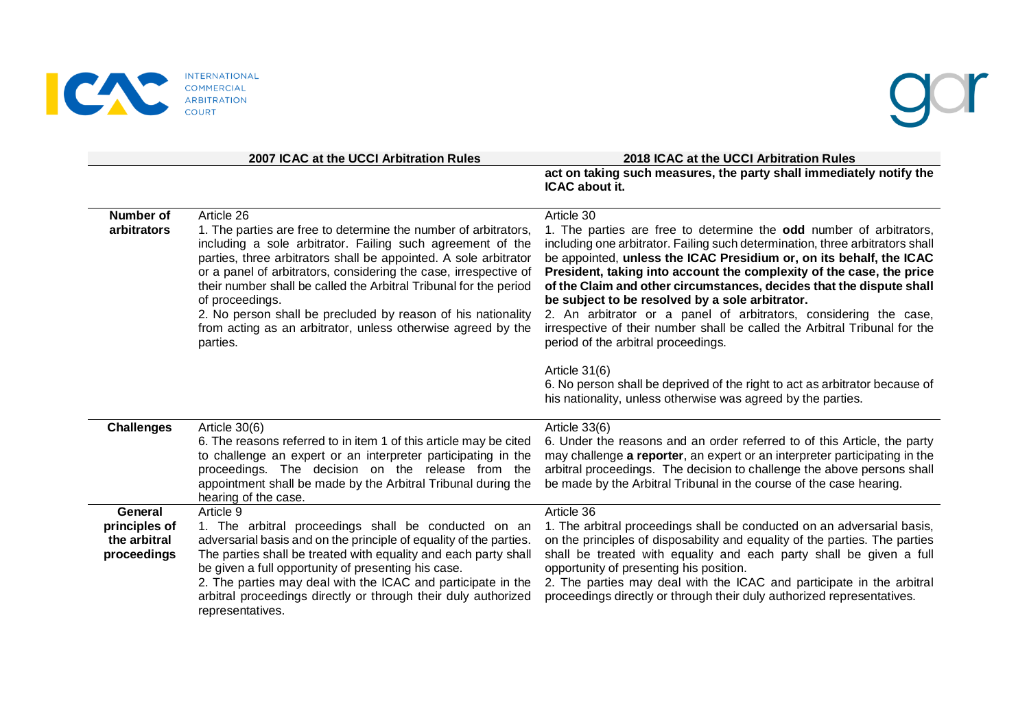

|                                                         | 2007 ICAC at the UCCI Arbitration Rules                                                                                                                                                                                                                                                                                                                                                                                                                                                                                 | 2018 ICAC at the UCCI Arbitration Rules<br>act on taking such measures, the party shall immediately notify the                                                                                                                                                                                                                                                                                                                                                                                                                                                                                                                         |
|---------------------------------------------------------|-------------------------------------------------------------------------------------------------------------------------------------------------------------------------------------------------------------------------------------------------------------------------------------------------------------------------------------------------------------------------------------------------------------------------------------------------------------------------------------------------------------------------|----------------------------------------------------------------------------------------------------------------------------------------------------------------------------------------------------------------------------------------------------------------------------------------------------------------------------------------------------------------------------------------------------------------------------------------------------------------------------------------------------------------------------------------------------------------------------------------------------------------------------------------|
|                                                         |                                                                                                                                                                                                                                                                                                                                                                                                                                                                                                                         | ICAC about it.                                                                                                                                                                                                                                                                                                                                                                                                                                                                                                                                                                                                                         |
| <b>Number of</b><br>arbitrators                         | Article 26<br>1. The parties are free to determine the number of arbitrators,<br>including a sole arbitrator. Failing such agreement of the<br>parties, three arbitrators shall be appointed. A sole arbitrator<br>or a panel of arbitrators, considering the case, irrespective of<br>their number shall be called the Arbitral Tribunal for the period<br>of proceedings.<br>2. No person shall be precluded by reason of his nationality<br>from acting as an arbitrator, unless otherwise agreed by the<br>parties. | Article 30<br>1. The parties are free to determine the odd number of arbitrators,<br>including one arbitrator. Failing such determination, three arbitrators shall<br>be appointed, unless the ICAC Presidium or, on its behalf, the ICAC<br>President, taking into account the complexity of the case, the price<br>of the Claim and other circumstances, decides that the dispute shall<br>be subject to be resolved by a sole arbitrator.<br>2. An arbitrator or a panel of arbitrators, considering the case,<br>irrespective of their number shall be called the Arbitral Tribunal for the<br>period of the arbitral proceedings. |
|                                                         |                                                                                                                                                                                                                                                                                                                                                                                                                                                                                                                         | Article 31(6)<br>6. No person shall be deprived of the right to act as arbitrator because of<br>his nationality, unless otherwise was agreed by the parties.                                                                                                                                                                                                                                                                                                                                                                                                                                                                           |
| <b>Challenges</b>                                       | Article 30(6)<br>6. The reasons referred to in item 1 of this article may be cited<br>to challenge an expert or an interpreter participating in the<br>proceedings. The decision on the release from the<br>appointment shall be made by the Arbitral Tribunal during the<br>hearing of the case.                                                                                                                                                                                                                       | Article 33(6)<br>6. Under the reasons and an order referred to of this Article, the party<br>may challenge a reporter, an expert or an interpreter participating in the<br>arbitral proceedings. The decision to challenge the above persons shall<br>be made by the Arbitral Tribunal in the course of the case hearing.                                                                                                                                                                                                                                                                                                              |
| General<br>principles of<br>the arbitral<br>proceedings | Article 9<br>1. The arbitral proceedings shall be conducted on an<br>adversarial basis and on the principle of equality of the parties.<br>The parties shall be treated with equality and each party shall<br>be given a full opportunity of presenting his case.<br>2. The parties may deal with the ICAC and participate in the<br>arbitral proceedings directly or through their duly authorized<br>representatives.                                                                                                 | Article 36<br>1. The arbitral proceedings shall be conducted on an adversarial basis,<br>on the principles of disposability and equality of the parties. The parties<br>shall be treated with equality and each party shall be given a full<br>opportunity of presenting his position.<br>2. The parties may deal with the ICAC and participate in the arbitral<br>proceedings directly or through their duly authorized representatives.                                                                                                                                                                                              |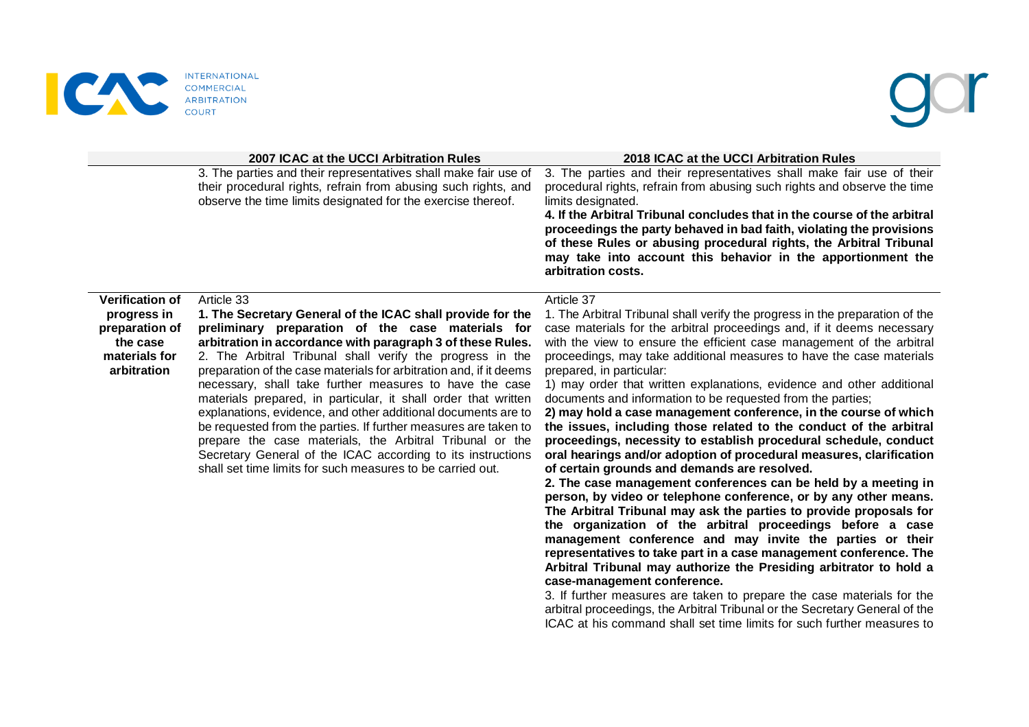

|                                                                                                     | 2007 ICAC at the UCCI Arbitration Rules                                                                                                                                                                                                                                                                                                                                                                                                                                                                                                                                                                                                                                                                                                                                                  | 2018 ICAC at the UCCI Arbitration Rules                                                                                                                                                                                                                                                                                                                                                                                                                                                                                                                                                                                                                                                                                                                                                                                                                                                                                                                                                                                                                                                                                                                                                                                                                                                                                                                                                                                                                                                                                                                                            |
|-----------------------------------------------------------------------------------------------------|------------------------------------------------------------------------------------------------------------------------------------------------------------------------------------------------------------------------------------------------------------------------------------------------------------------------------------------------------------------------------------------------------------------------------------------------------------------------------------------------------------------------------------------------------------------------------------------------------------------------------------------------------------------------------------------------------------------------------------------------------------------------------------------|------------------------------------------------------------------------------------------------------------------------------------------------------------------------------------------------------------------------------------------------------------------------------------------------------------------------------------------------------------------------------------------------------------------------------------------------------------------------------------------------------------------------------------------------------------------------------------------------------------------------------------------------------------------------------------------------------------------------------------------------------------------------------------------------------------------------------------------------------------------------------------------------------------------------------------------------------------------------------------------------------------------------------------------------------------------------------------------------------------------------------------------------------------------------------------------------------------------------------------------------------------------------------------------------------------------------------------------------------------------------------------------------------------------------------------------------------------------------------------------------------------------------------------------------------------------------------------|
|                                                                                                     | 3. The parties and their representatives shall make fair use of<br>their procedural rights, refrain from abusing such rights, and<br>observe the time limits designated for the exercise thereof.                                                                                                                                                                                                                                                                                                                                                                                                                                                                                                                                                                                        | 3. The parties and their representatives shall make fair use of their<br>procedural rights, refrain from abusing such rights and observe the time<br>limits designated.<br>4. If the Arbitral Tribunal concludes that in the course of the arbitral<br>proceedings the party behaved in bad faith, violating the provisions<br>of these Rules or abusing procedural rights, the Arbitral Tribunal<br>may take into account this behavior in the apportionment the<br>arbitration costs.                                                                                                                                                                                                                                                                                                                                                                                                                                                                                                                                                                                                                                                                                                                                                                                                                                                                                                                                                                                                                                                                                            |
| <b>Verification of</b><br>progress in<br>preparation of<br>the case<br>materials for<br>arbitration | Article 33<br>1. The Secretary General of the ICAC shall provide for the<br>preliminary preparation of the case materials for<br>arbitration in accordance with paragraph 3 of these Rules.<br>2. The Arbitral Tribunal shall verify the progress in the<br>preparation of the case materials for arbitration and, if it deems<br>necessary, shall take further measures to have the case<br>materials prepared, in particular, it shall order that written<br>explanations, evidence, and other additional documents are to<br>be requested from the parties. If further measures are taken to<br>prepare the case materials, the Arbitral Tribunal or the<br>Secretary General of the ICAC according to its instructions<br>shall set time limits for such measures to be carried out. | Article 37<br>1. The Arbitral Tribunal shall verify the progress in the preparation of the<br>case materials for the arbitral proceedings and, if it deems necessary<br>with the view to ensure the efficient case management of the arbitral<br>proceedings, may take additional measures to have the case materials<br>prepared, in particular:<br>1) may order that written explanations, evidence and other additional<br>documents and information to be requested from the parties;<br>2) may hold a case management conference, in the course of which<br>the issues, including those related to the conduct of the arbitral<br>proceedings, necessity to establish procedural schedule, conduct<br>oral hearings and/or adoption of procedural measures, clarification<br>of certain grounds and demands are resolved.<br>2. The case management conferences can be held by a meeting in<br>person, by video or telephone conference, or by any other means.<br>The Arbitral Tribunal may ask the parties to provide proposals for<br>the organization of the arbitral proceedings before a case<br>management conference and may invite the parties or their<br>representatives to take part in a case management conference. The<br>Arbitral Tribunal may authorize the Presiding arbitrator to hold a<br>case-management conference.<br>3. If further measures are taken to prepare the case materials for the<br>arbitral proceedings, the Arbitral Tribunal or the Secretary General of the<br>ICAC at his command shall set time limits for such further measures to |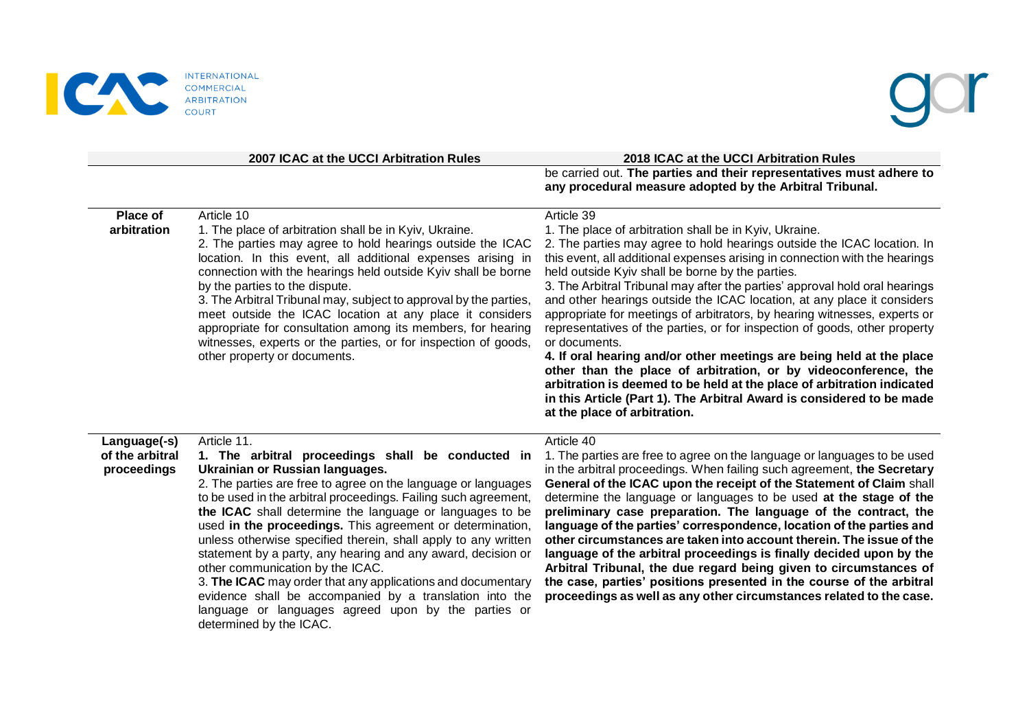

|                                                | 2007 ICAC at the UCCI Arbitration Rules                                                                                                                                                                                                                                                                                                                                                                                                                                                                                                                                                                                                                                                                                                            | 2018 ICAC at the UCCI Arbitration Rules                                                                                                                                                                                                                                                                                                                                                                                                                                                                                                                                                                                                                                                                                                                                                                                                                                                                                                                |
|------------------------------------------------|----------------------------------------------------------------------------------------------------------------------------------------------------------------------------------------------------------------------------------------------------------------------------------------------------------------------------------------------------------------------------------------------------------------------------------------------------------------------------------------------------------------------------------------------------------------------------------------------------------------------------------------------------------------------------------------------------------------------------------------------------|--------------------------------------------------------------------------------------------------------------------------------------------------------------------------------------------------------------------------------------------------------------------------------------------------------------------------------------------------------------------------------------------------------------------------------------------------------------------------------------------------------------------------------------------------------------------------------------------------------------------------------------------------------------------------------------------------------------------------------------------------------------------------------------------------------------------------------------------------------------------------------------------------------------------------------------------------------|
|                                                |                                                                                                                                                                                                                                                                                                                                                                                                                                                                                                                                                                                                                                                                                                                                                    | be carried out. The parties and their representatives must adhere to<br>any procedural measure adopted by the Arbitral Tribunal.                                                                                                                                                                                                                                                                                                                                                                                                                                                                                                                                                                                                                                                                                                                                                                                                                       |
| Place of<br>arbitration                        | Article 10<br>1. The place of arbitration shall be in Kyiv, Ukraine.<br>2. The parties may agree to hold hearings outside the ICAC<br>location. In this event, all additional expenses arising in<br>connection with the hearings held outside Kyiv shall be borne<br>by the parties to the dispute.<br>3. The Arbitral Tribunal may, subject to approval by the parties,<br>meet outside the ICAC location at any place it considers<br>appropriate for consultation among its members, for hearing<br>witnesses, experts or the parties, or for inspection of goods,<br>other property or documents.                                                                                                                                             | Article 39<br>1. The place of arbitration shall be in Kyiv, Ukraine.<br>2. The parties may agree to hold hearings outside the ICAC location. In<br>this event, all additional expenses arising in connection with the hearings<br>held outside Kyiv shall be borne by the parties.<br>3. The Arbitral Tribunal may after the parties' approval hold oral hearings<br>and other hearings outside the ICAC location, at any place it considers<br>appropriate for meetings of arbitrators, by hearing witnesses, experts or<br>representatives of the parties, or for inspection of goods, other property<br>or documents.<br>4. If oral hearing and/or other meetings are being held at the place<br>other than the place of arbitration, or by videoconference, the<br>arbitration is deemed to be held at the place of arbitration indicated<br>in this Article (Part 1). The Arbitral Award is considered to be made<br>at the place of arbitration. |
| Language(-s)<br>of the arbitral<br>proceedings | Article 11.<br>1. The arbitral proceedings shall be conducted in<br>Ukrainian or Russian languages.<br>2. The parties are free to agree on the language or languages<br>to be used in the arbitral proceedings. Failing such agreement,<br>the ICAC shall determine the language or languages to be<br>used in the proceedings. This agreement or determination,<br>unless otherwise specified therein, shall apply to any written<br>statement by a party, any hearing and any award, decision or<br>other communication by the ICAC.<br>3. The ICAC may order that any applications and documentary<br>evidence shall be accompanied by a translation into the<br>language or languages agreed upon by the parties or<br>determined by the ICAC. | Article 40<br>1. The parties are free to agree on the language or languages to be used<br>in the arbitral proceedings. When failing such agreement, the Secretary<br>General of the ICAC upon the receipt of the Statement of Claim shall<br>determine the language or languages to be used at the stage of the<br>preliminary case preparation. The language of the contract, the<br>language of the parties' correspondence, location of the parties and<br>other circumstances are taken into account therein. The issue of the<br>language of the arbitral proceedings is finally decided upon by the<br>Arbitral Tribunal, the due regard being given to circumstances of<br>the case, parties' positions presented in the course of the arbitral<br>proceedings as well as any other circumstances related to the case.                                                                                                                          |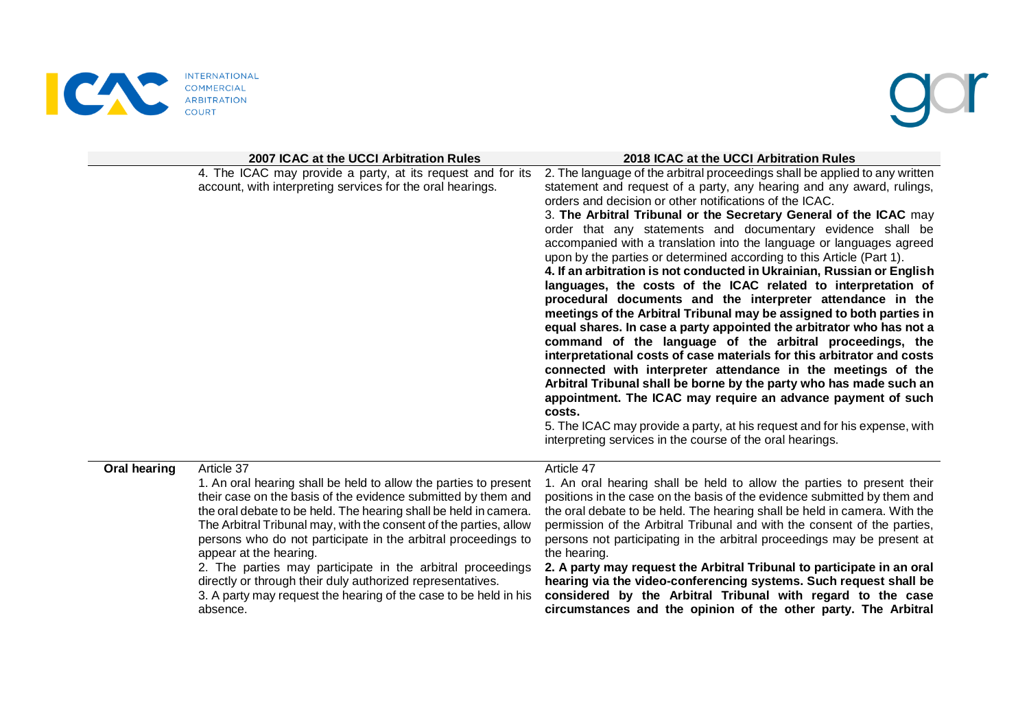

|              | 2007 ICAC at the UCCI Arbitration Rules                                                                                                                                                                                                                                                                                                                                                                                                                                                                                                                                                         | 2018 ICAC at the UCCI Arbitration Rules                                                                                                                                                                                                                                                                                                                                                                                                                                                                                                                                                                                                                                                                                                                                                                                                                                                                                                                                                                                                                                                                                                                                                                                                                                                                                                                       |
|--------------|-------------------------------------------------------------------------------------------------------------------------------------------------------------------------------------------------------------------------------------------------------------------------------------------------------------------------------------------------------------------------------------------------------------------------------------------------------------------------------------------------------------------------------------------------------------------------------------------------|---------------------------------------------------------------------------------------------------------------------------------------------------------------------------------------------------------------------------------------------------------------------------------------------------------------------------------------------------------------------------------------------------------------------------------------------------------------------------------------------------------------------------------------------------------------------------------------------------------------------------------------------------------------------------------------------------------------------------------------------------------------------------------------------------------------------------------------------------------------------------------------------------------------------------------------------------------------------------------------------------------------------------------------------------------------------------------------------------------------------------------------------------------------------------------------------------------------------------------------------------------------------------------------------------------------------------------------------------------------|
|              | 4. The ICAC may provide a party, at its request and for its<br>account, with interpreting services for the oral hearings.                                                                                                                                                                                                                                                                                                                                                                                                                                                                       | 2. The language of the arbitral proceedings shall be applied to any written<br>statement and request of a party, any hearing and any award, rulings,<br>orders and decision or other notifications of the ICAC.<br>3. The Arbitral Tribunal or the Secretary General of the ICAC may<br>order that any statements and documentary evidence shall be<br>accompanied with a translation into the language or languages agreed<br>upon by the parties or determined according to this Article (Part 1).<br>4. If an arbitration is not conducted in Ukrainian, Russian or English<br>languages, the costs of the ICAC related to interpretation of<br>procedural documents and the interpreter attendance in the<br>meetings of the Arbitral Tribunal may be assigned to both parties in<br>equal shares. In case a party appointed the arbitrator who has not a<br>command of the language of the arbitral proceedings, the<br>interpretational costs of case materials for this arbitrator and costs<br>connected with interpreter attendance in the meetings of the<br>Arbitral Tribunal shall be borne by the party who has made such an<br>appointment. The ICAC may require an advance payment of such<br>costs.<br>5. The ICAC may provide a party, at his request and for his expense, with<br>interpreting services in the course of the oral hearings. |
| Oral hearing | Article 37<br>1. An oral hearing shall be held to allow the parties to present<br>their case on the basis of the evidence submitted by them and<br>the oral debate to be held. The hearing shall be held in camera.<br>The Arbitral Tribunal may, with the consent of the parties, allow<br>persons who do not participate in the arbitral proceedings to<br>appear at the hearing.<br>2. The parties may participate in the arbitral proceedings<br>directly or through their duly authorized representatives.<br>3. A party may request the hearing of the case to be held in his<br>absence. | Article 47<br>1. An oral hearing shall be held to allow the parties to present their<br>positions in the case on the basis of the evidence submitted by them and<br>the oral debate to be held. The hearing shall be held in camera. With the<br>permission of the Arbitral Tribunal and with the consent of the parties,<br>persons not participating in the arbitral proceedings may be present at<br>the hearing.<br>2. A party may request the Arbitral Tribunal to participate in an oral<br>hearing via the video-conferencing systems. Such request shall be<br>considered by the Arbitral Tribunal with regard to the case<br>circumstances and the opinion of the other party. The Arbitral                                                                                                                                                                                                                                                                                                                                                                                                                                                                                                                                                                                                                                                          |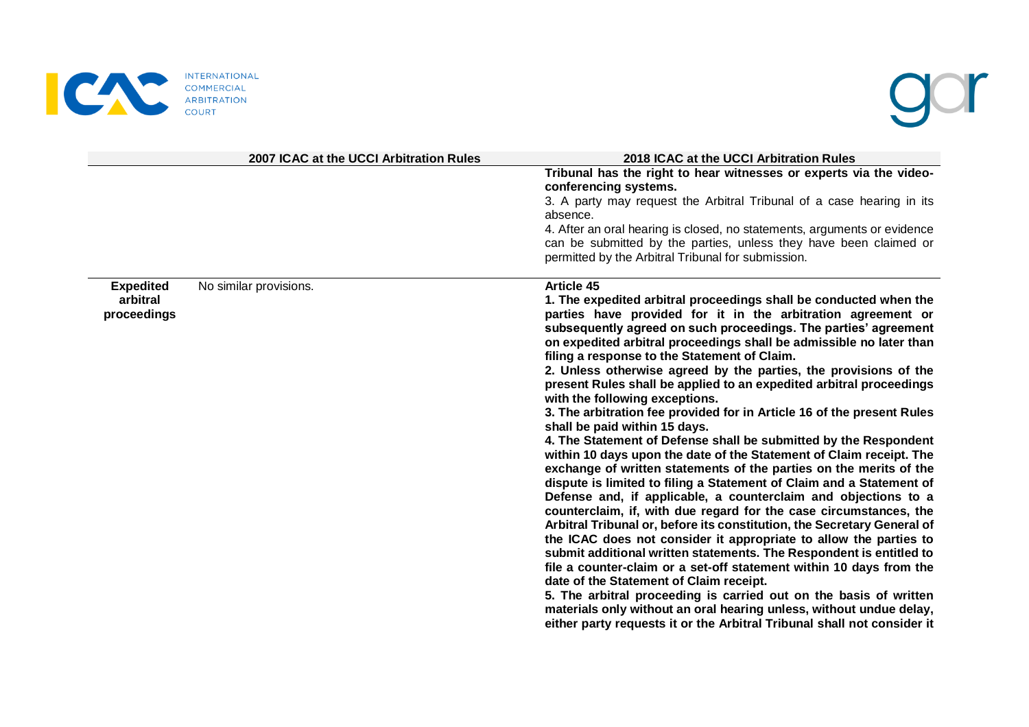

|                                             | 2007 ICAC at the UCCI Arbitration Rules | 2018 ICAC at the UCCI Arbitration Rules                                                                                                                                                                                                                                                                                                                                                                                                                                                                                                                                                                                                                                                                                                                                                                                                                                                                                                                                                                                                                                                                                                                                                                                                                                                                                                                                                                                                                                                                                                                                                                                           |
|---------------------------------------------|-----------------------------------------|-----------------------------------------------------------------------------------------------------------------------------------------------------------------------------------------------------------------------------------------------------------------------------------------------------------------------------------------------------------------------------------------------------------------------------------------------------------------------------------------------------------------------------------------------------------------------------------------------------------------------------------------------------------------------------------------------------------------------------------------------------------------------------------------------------------------------------------------------------------------------------------------------------------------------------------------------------------------------------------------------------------------------------------------------------------------------------------------------------------------------------------------------------------------------------------------------------------------------------------------------------------------------------------------------------------------------------------------------------------------------------------------------------------------------------------------------------------------------------------------------------------------------------------------------------------------------------------------------------------------------------------|
|                                             |                                         | Tribunal has the right to hear witnesses or experts via the video-<br>conferencing systems.<br>3. A party may request the Arbitral Tribunal of a case hearing in its<br>absence.<br>4. After an oral hearing is closed, no statements, arguments or evidence<br>can be submitted by the parties, unless they have been claimed or<br>permitted by the Arbitral Tribunal for submission.                                                                                                                                                                                                                                                                                                                                                                                                                                                                                                                                                                                                                                                                                                                                                                                                                                                                                                                                                                                                                                                                                                                                                                                                                                           |
| <b>Expedited</b><br>arbitral<br>proceedings | No similar provisions.                  | Article 45<br>1. The expedited arbitral proceedings shall be conducted when the<br>parties have provided for it in the arbitration agreement or<br>subsequently agreed on such proceedings. The parties' agreement<br>on expedited arbitral proceedings shall be admissible no later than<br>filing a response to the Statement of Claim.<br>2. Unless otherwise agreed by the parties, the provisions of the<br>present Rules shall be applied to an expedited arbitral proceedings<br>with the following exceptions.<br>3. The arbitration fee provided for in Article 16 of the present Rules<br>shall be paid within 15 days.<br>4. The Statement of Defense shall be submitted by the Respondent<br>within 10 days upon the date of the Statement of Claim receipt. The<br>exchange of written statements of the parties on the merits of the<br>dispute is limited to filing a Statement of Claim and a Statement of<br>Defense and, if applicable, a counterclaim and objections to a<br>counterclaim, if, with due regard for the case circumstances, the<br>Arbitral Tribunal or, before its constitution, the Secretary General of<br>the ICAC does not consider it appropriate to allow the parties to<br>submit additional written statements. The Respondent is entitled to<br>file a counter-claim or a set-off statement within 10 days from the<br>date of the Statement of Claim receipt.<br>5. The arbitral proceeding is carried out on the basis of written<br>materials only without an oral hearing unless, without undue delay,<br>either party requests it or the Arbitral Tribunal shall not consider it |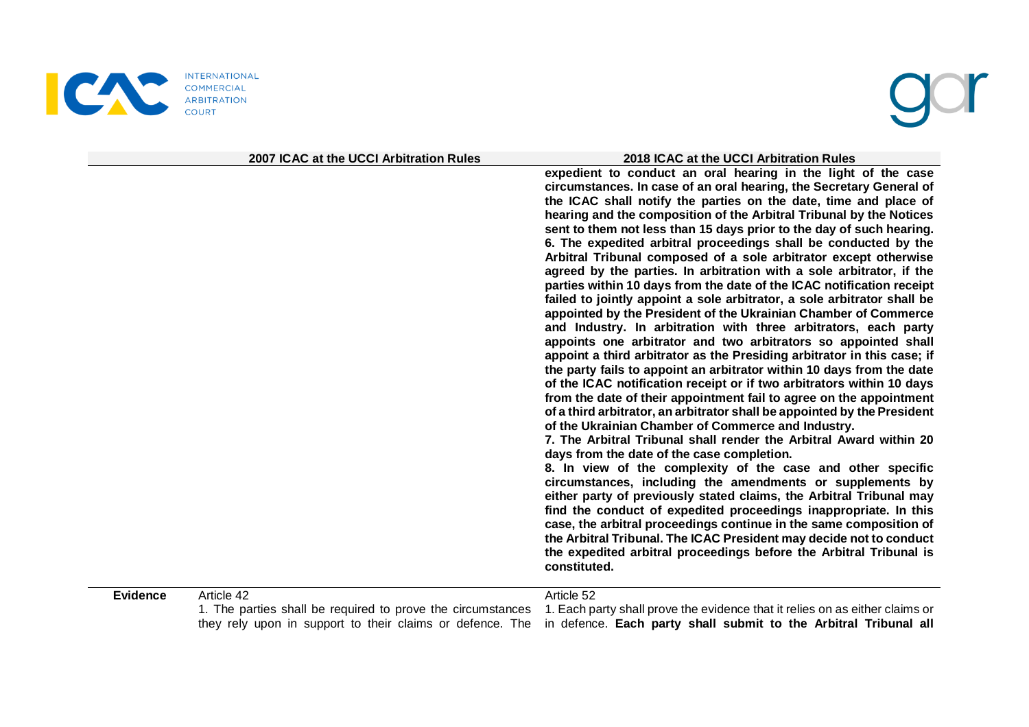

|                               | 2007 ICAC at the UCCI Arbitration Rules | 2018 ICAC at the UCCI Arbitration Rules                                                                                                                                                                                                                                                                                                                                                                                                                                                                                                                                                                                                                                                                                                                                                                                                                                                                                                                                                                                                                                                                                                                                                                                                                                                                                                                                                                                                                                                                                                                                                                                                                                                                                                                                                                                                                                                                                                                                                                |
|-------------------------------|-----------------------------------------|--------------------------------------------------------------------------------------------------------------------------------------------------------------------------------------------------------------------------------------------------------------------------------------------------------------------------------------------------------------------------------------------------------------------------------------------------------------------------------------------------------------------------------------------------------------------------------------------------------------------------------------------------------------------------------------------------------------------------------------------------------------------------------------------------------------------------------------------------------------------------------------------------------------------------------------------------------------------------------------------------------------------------------------------------------------------------------------------------------------------------------------------------------------------------------------------------------------------------------------------------------------------------------------------------------------------------------------------------------------------------------------------------------------------------------------------------------------------------------------------------------------------------------------------------------------------------------------------------------------------------------------------------------------------------------------------------------------------------------------------------------------------------------------------------------------------------------------------------------------------------------------------------------------------------------------------------------------------------------------------------------|
|                               |                                         | expedient to conduct an oral hearing in the light of the case<br>circumstances. In case of an oral hearing, the Secretary General of<br>the ICAC shall notify the parties on the date, time and place of<br>hearing and the composition of the Arbitral Tribunal by the Notices<br>sent to them not less than 15 days prior to the day of such hearing.<br>6. The expedited arbitral proceedings shall be conducted by the<br>Arbitral Tribunal composed of a sole arbitrator except otherwise<br>agreed by the parties. In arbitration with a sole arbitrator, if the<br>parties within 10 days from the date of the ICAC notification receipt<br>failed to jointly appoint a sole arbitrator, a sole arbitrator shall be<br>appointed by the President of the Ukrainian Chamber of Commerce<br>and Industry. In arbitration with three arbitrators, each party<br>appoints one arbitrator and two arbitrators so appointed shall<br>appoint a third arbitrator as the Presiding arbitrator in this case; if<br>the party fails to appoint an arbitrator within 10 days from the date<br>of the ICAC notification receipt or if two arbitrators within 10 days<br>from the date of their appointment fail to agree on the appointment<br>of a third arbitrator, an arbitrator shall be appointed by the President<br>of the Ukrainian Chamber of Commerce and Industry.<br>7. The Arbitral Tribunal shall render the Arbitral Award within 20<br>days from the date of the case completion.<br>8. In view of the complexity of the case and other specific<br>circumstances, including the amendments or supplements by<br>either party of previously stated claims, the Arbitral Tribunal may<br>find the conduct of expedited proceedings inappropriate. In this<br>case, the arbitral proceedings continue in the same composition of<br>the Arbitral Tribunal. The ICAC President may decide not to conduct<br>the expedited arbitral proceedings before the Arbitral Tribunal is<br>constituted. |
| Article 42<br><b>Evidence</b> |                                         | Article 52                                                                                                                                                                                                                                                                                                                                                                                                                                                                                                                                                                                                                                                                                                                                                                                                                                                                                                                                                                                                                                                                                                                                                                                                                                                                                                                                                                                                                                                                                                                                                                                                                                                                                                                                                                                                                                                                                                                                                                                             |

1. The parties shall be required to prove the circumstances 1. Each party shall prove the evidence that it relies on as either claims or they rely upon in support to their claims or defence. The in defence. **Each party shall submit to the Arbitral Tribunal all**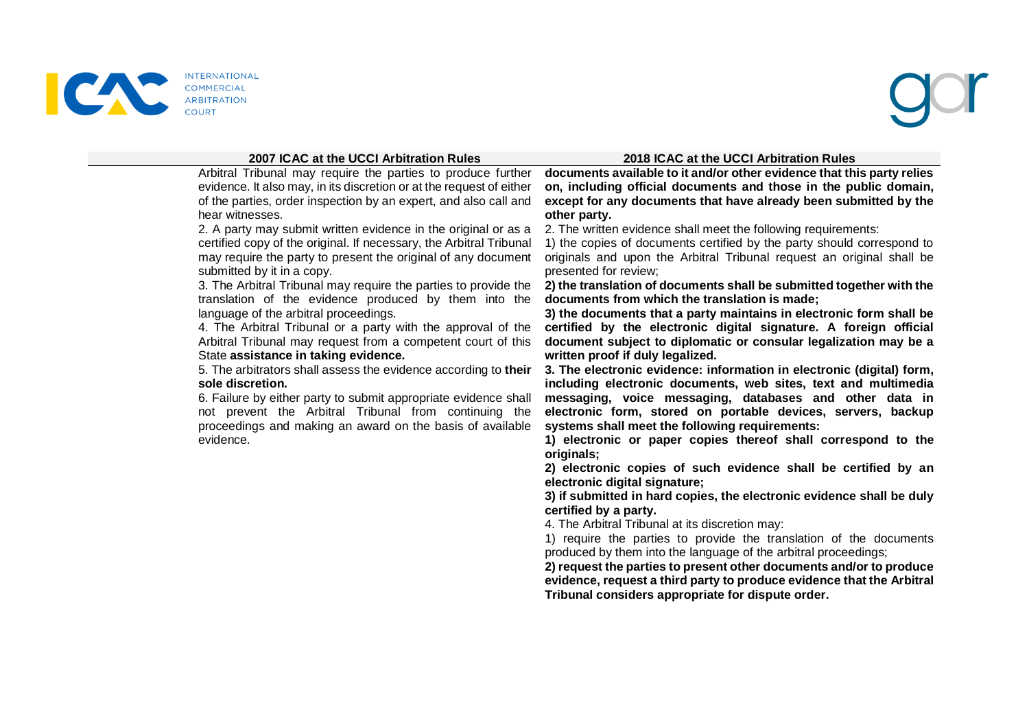

### **2007 ICAC at the UCCI Arbitration Rules 2018 ICAC at the UCCI Arbitration Rules**

Arbitral Tribunal may require the parties to produce further evidence. It also may, in its discretion or at the request of either of the parties, order inspection by an expert, and also call and hear witnesses.

2. A party may submit written evidence in the original or as a certified copy of the original. If necessary, the Arbitral Tribunal may require the party to present the original of any document submitted by it in a copy.

3. The Arbitral Tribunal may require the parties to provide the translation of the evidence produced by them into the language of the arbitral proceedings.

4. The Arbitral Tribunal or a party with the approval of the Arbitral Tribunal may request from a competent court of this State **assistance in taking evidence.**

5. The arbitrators shall assess the evidence according to **their sole discretion.**

6. Failure by either party to submit appropriate evidence shall not prevent the Arbitral Tribunal from continuing the proceedings and making an award on the basis of available evidence.

**documents available to it and/or other evidence that this party relies on, including official documents and those in the public domain, except for any documents that have already been submitted by the other party.**

2. The written evidence shall meet the following requirements:

1) the copies of documents certified by the party should correspond to originals and upon the Arbitral Tribunal request an original shall be presented for review;

**2) the translation of documents shall be submitted together with the documents from which the translation is made;** 

**3) the documents that a party maintains in electronic form shall be certified by the electronic digital signature. A foreign official document subject to diplomatic or consular legalization may be a written proof if duly legalized.** 

**3. The electronic evidence: information in electronic (digital) form, including electronic documents, web sites, text and multimedia messaging, voice messaging, databases and other data in electronic form, stored on portable devices, servers, backup systems shall meet the following requirements:** 

**1) electronic or paper copies thereof shall correspond to the originals;** 

**2) electronic copies of such evidence shall be certified by an electronic digital signature;** 

**3) if submitted in hard copies, the electronic evidence shall be duly certified by a party.** 

4. The Arbitral Tribunal at its discretion may:

1) require the parties to provide the translation of the documents produced by them into the language of the arbitral proceedings;

**2) request the parties to present other documents and/or to produce evidence, request a third party to produce evidence that the Arbitral Tribunal considers appropriate for dispute order.**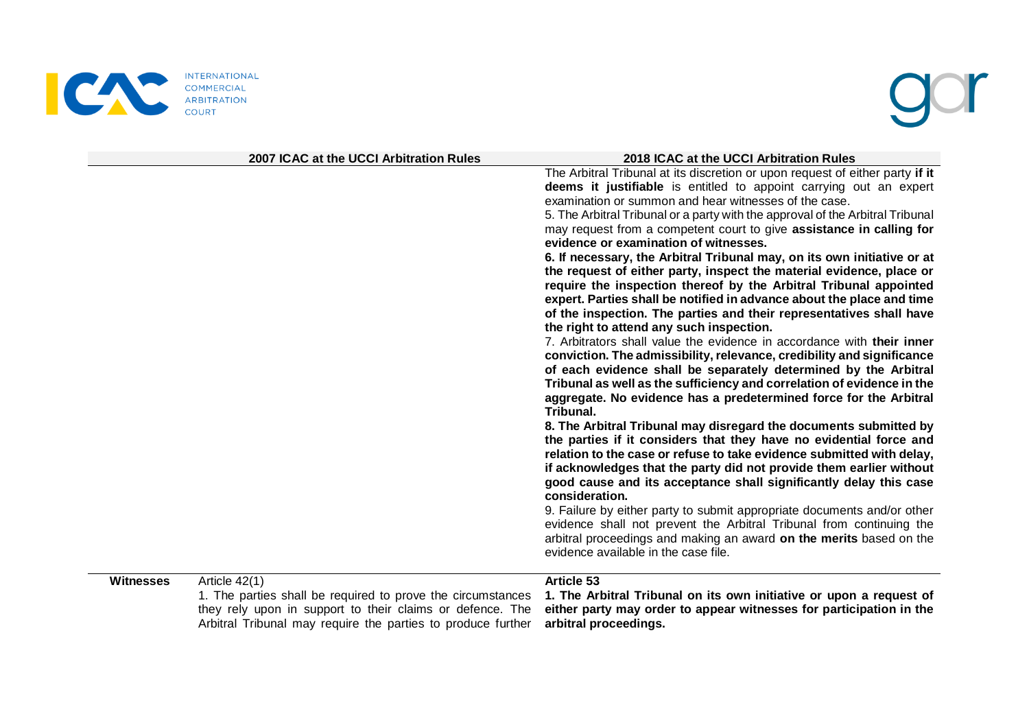

|                  | 2007 ICAC at the UCCI Arbitration Rules                                                                                                                                                                   | 2018 ICAC at the UCCI Arbitration Rules                                                                                                                                                                                                                                                                                                                                                                                                                                                                                                                                                                                                                                                                                                                                                                                                                                                                                                                                                                                                                                                                                                                                                                                                                                                                                                                                                                                                                                                                                                                                                                                                                                                                                                                                                                                            |
|------------------|-----------------------------------------------------------------------------------------------------------------------------------------------------------------------------------------------------------|------------------------------------------------------------------------------------------------------------------------------------------------------------------------------------------------------------------------------------------------------------------------------------------------------------------------------------------------------------------------------------------------------------------------------------------------------------------------------------------------------------------------------------------------------------------------------------------------------------------------------------------------------------------------------------------------------------------------------------------------------------------------------------------------------------------------------------------------------------------------------------------------------------------------------------------------------------------------------------------------------------------------------------------------------------------------------------------------------------------------------------------------------------------------------------------------------------------------------------------------------------------------------------------------------------------------------------------------------------------------------------------------------------------------------------------------------------------------------------------------------------------------------------------------------------------------------------------------------------------------------------------------------------------------------------------------------------------------------------------------------------------------------------------------------------------------------------|
|                  |                                                                                                                                                                                                           | The Arbitral Tribunal at its discretion or upon request of either party if it<br>deems it justifiable is entitled to appoint carrying out an expert<br>examination or summon and hear witnesses of the case.<br>5. The Arbitral Tribunal or a party with the approval of the Arbitral Tribunal<br>may request from a competent court to give assistance in calling for<br>evidence or examination of witnesses.<br>6. If necessary, the Arbitral Tribunal may, on its own initiative or at<br>the request of either party, inspect the material evidence, place or<br>require the inspection thereof by the Arbitral Tribunal appointed<br>expert. Parties shall be notified in advance about the place and time<br>of the inspection. The parties and their representatives shall have<br>the right to attend any such inspection.<br>7. Arbitrators shall value the evidence in accordance with their inner<br>conviction. The admissibility, relevance, credibility and significance<br>of each evidence shall be separately determined by the Arbitral<br>Tribunal as well as the sufficiency and correlation of evidence in the<br>aggregate. No evidence has a predetermined force for the Arbitral<br>Tribunal.<br>8. The Arbitral Tribunal may disregard the documents submitted by<br>the parties if it considers that they have no evidential force and<br>relation to the case or refuse to take evidence submitted with delay,<br>if acknowledges that the party did not provide them earlier without<br>good cause and its acceptance shall significantly delay this case<br>consideration.<br>9. Failure by either party to submit appropriate documents and/or other<br>evidence shall not prevent the Arbitral Tribunal from continuing the<br>arbitral proceedings and making an award on the merits based on the |
|                  |                                                                                                                                                                                                           | evidence available in the case file.                                                                                                                                                                                                                                                                                                                                                                                                                                                                                                                                                                                                                                                                                                                                                                                                                                                                                                                                                                                                                                                                                                                                                                                                                                                                                                                                                                                                                                                                                                                                                                                                                                                                                                                                                                                               |
| <b>Witnesses</b> | Article 42(1)<br>1. The parties shall be required to prove the circumstances<br>they rely upon in support to their claims or defence. The<br>Arbitral Tribunal may require the parties to produce further | Article 53<br>1. The Arbitral Tribunal on its own initiative or upon a request of<br>either party may order to appear witnesses for participation in the<br>arbitral proceedings.                                                                                                                                                                                                                                                                                                                                                                                                                                                                                                                                                                                                                                                                                                                                                                                                                                                                                                                                                                                                                                                                                                                                                                                                                                                                                                                                                                                                                                                                                                                                                                                                                                                  |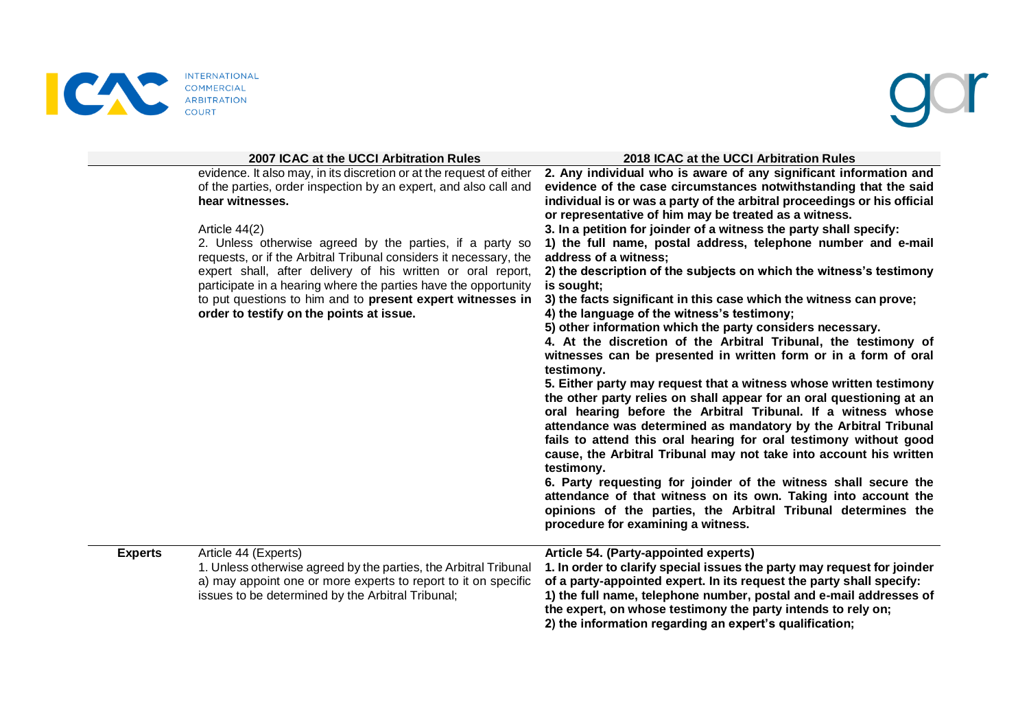

|                | 2007 ICAC at the UCCI Arbitration Rules                                                                                                                                                                                                                                                                                                                                                                                                                                                                                                                   | 2018 ICAC at the UCCI Arbitration Rules                                                                                                                                                                                                                                                                                                                                                                                                                                                                                                                                                                                                                                                                                                                                                                                                                                                                                                                                                                                                                                                                                                                                                                                                                                                                                                                                                                                                                                                                                                                      |
|----------------|-----------------------------------------------------------------------------------------------------------------------------------------------------------------------------------------------------------------------------------------------------------------------------------------------------------------------------------------------------------------------------------------------------------------------------------------------------------------------------------------------------------------------------------------------------------|--------------------------------------------------------------------------------------------------------------------------------------------------------------------------------------------------------------------------------------------------------------------------------------------------------------------------------------------------------------------------------------------------------------------------------------------------------------------------------------------------------------------------------------------------------------------------------------------------------------------------------------------------------------------------------------------------------------------------------------------------------------------------------------------------------------------------------------------------------------------------------------------------------------------------------------------------------------------------------------------------------------------------------------------------------------------------------------------------------------------------------------------------------------------------------------------------------------------------------------------------------------------------------------------------------------------------------------------------------------------------------------------------------------------------------------------------------------------------------------------------------------------------------------------------------------|
|                | evidence. It also may, in its discretion or at the request of either<br>of the parties, order inspection by an expert, and also call and<br>hear witnesses.<br>Article 44(2)<br>2. Unless otherwise agreed by the parties, if a party so<br>requests, or if the Arbitral Tribunal considers it necessary, the<br>expert shall, after delivery of his written or oral report,<br>participate in a hearing where the parties have the opportunity<br>to put questions to him and to present expert witnesses in<br>order to testify on the points at issue. | 2. Any individual who is aware of any significant information and<br>evidence of the case circumstances notwithstanding that the said<br>individual is or was a party of the arbitral proceedings or his official<br>or representative of him may be treated as a witness.<br>3. In a petition for joinder of a witness the party shall specify:<br>1) the full name, postal address, telephone number and e-mail<br>address of a witness;<br>2) the description of the subjects on which the witness's testimony<br>is sought;<br>3) the facts significant in this case which the witness can prove;<br>4) the language of the witness's testimony;<br>5) other information which the party considers necessary.<br>4. At the discretion of the Arbitral Tribunal, the testimony of<br>witnesses can be presented in written form or in a form of oral<br>testimony.<br>5. Either party may request that a witness whose written testimony<br>the other party relies on shall appear for an oral questioning at an<br>oral hearing before the Arbitral Tribunal. If a witness whose<br>attendance was determined as mandatory by the Arbitral Tribunal<br>fails to attend this oral hearing for oral testimony without good<br>cause, the Arbitral Tribunal may not take into account his written<br>testimony.<br>6. Party requesting for joinder of the witness shall secure the<br>attendance of that witness on its own. Taking into account the<br>opinions of the parties, the Arbitral Tribunal determines the<br>procedure for examining a witness. |
| <b>Experts</b> | Article 44 (Experts)<br>1. Unless otherwise agreed by the parties, the Arbitral Tribunal<br>a) may appoint one or more experts to report to it on specific<br>issues to be determined by the Arbitral Tribunal;                                                                                                                                                                                                                                                                                                                                           | Article 54. (Party-appointed experts)<br>1. In order to clarify special issues the party may request for joinder<br>of a party-appointed expert. In its request the party shall specify:<br>1) the full name, telephone number, postal and e-mail addresses of<br>the expert, on whose testimony the party intends to rely on;<br>2) the information regarding an expert's qualification;                                                                                                                                                                                                                                                                                                                                                                                                                                                                                                                                                                                                                                                                                                                                                                                                                                                                                                                                                                                                                                                                                                                                                                    |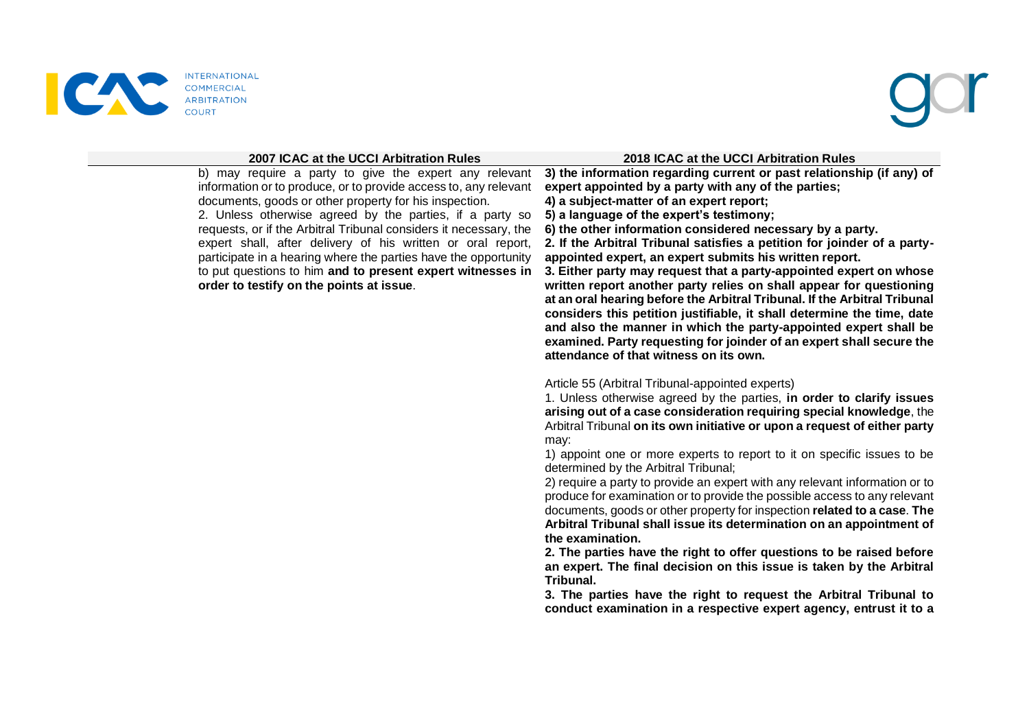

b) may require a party to give the expert any relevant information or to produce, or to provide access to, any relevant documents, goods or other property for his inspection. 2. Unless otherwise agreed by the parties, if a party so requests, or if the Arbitral Tribunal considers it necessary, the expert shall, after delivery of his written or oral report, participate in a hearing where the parties have the opportunity to put questions to him **and to present expert witnesses in order to testify on the points at issue**.

### **2007 ICAC at the UCCI Arbitration Rules 2018 ICAC at the UCCI Arbitration Rules**

**3) the information regarding current or past relationship (if any) of expert appointed by a party with any of the parties; 4) a subject-matter of an expert report;** 

**5) a language of the expert's testimony;** 

**6) the other information considered necessary by a party.** 

**2. If the Arbitral Tribunal satisfies a petition for joinder of a partyappointed expert, an expert submits his written report.** 

**3. Either party may request that a party-appointed expert on whose written report another party relies on shall appear for questioning at an oral hearing before the Arbitral Tribunal. If the Arbitral Tribunal considers this petition justifiable, it shall determine the time, date and also the manner in which the party-appointed expert shall be examined. Party requesting for joinder of an expert shall secure the attendance of that witness on its own.**

Article 55 (Arbitral Tribunal-appointed experts)

1. Unless otherwise agreed by the parties, **in order to clarify issues arising out of a case consideration requiring special knowledge**, the Arbitral Tribunal **on its own initiative or upon a request of either party** may:

1) appoint one or more experts to report to it on specific issues to be determined by the Arbitral Tribunal;

2) require a party to provide an expert with any relevant information or to produce for examination or to provide the possible access to any relevant documents, goods or other property for inspection **related to a case**. **The Arbitral Tribunal shall issue its determination on an appointment of the examination.** 

**2. The parties have the right to offer questions to be raised before an expert. The final decision on this issue is taken by the Arbitral Tribunal.** 

**3. The parties have the right to request the Arbitral Tribunal to conduct examination in a respective expert agency, entrust it to a**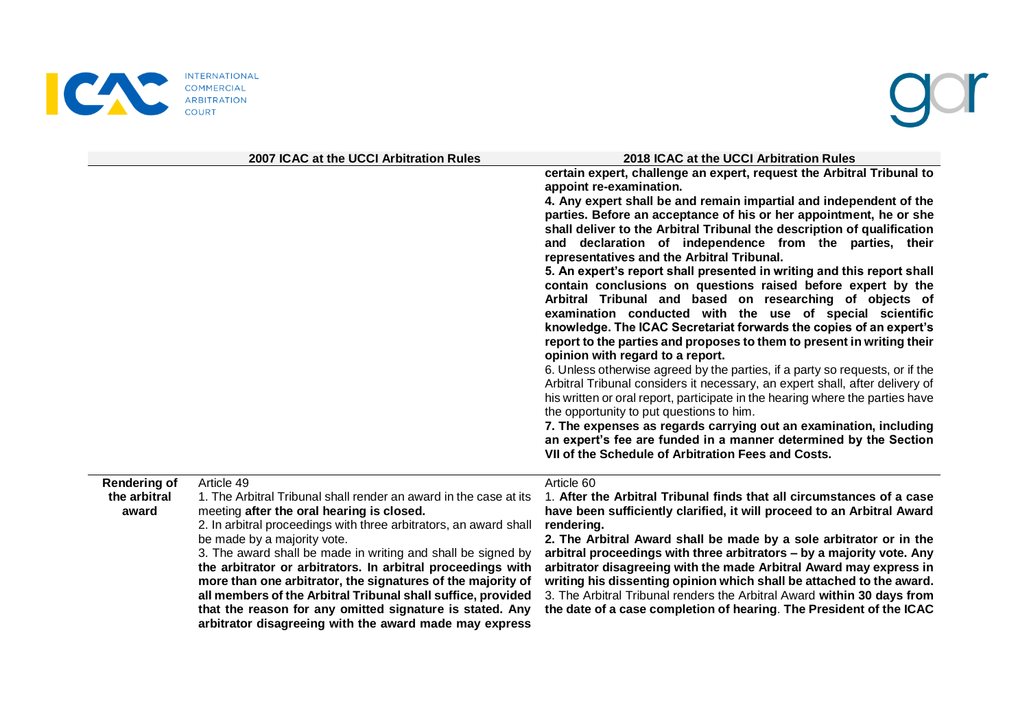



|                     | 2007 ICAC at the UCCI Arbitration Rules                           | 2018 ICAC at the UCCI Arbitration Rules                                       |
|---------------------|-------------------------------------------------------------------|-------------------------------------------------------------------------------|
|                     |                                                                   | certain expert, challenge an expert, request the Arbitral Tribunal to         |
|                     |                                                                   | appoint re-examination.                                                       |
|                     |                                                                   | 4. Any expert shall be and remain impartial and independent of the            |
|                     |                                                                   | parties. Before an acceptance of his or her appointment, he or she            |
|                     |                                                                   | shall deliver to the Arbitral Tribunal the description of qualification       |
|                     |                                                                   | declaration of independence from the parties, their<br>and                    |
|                     |                                                                   | representatives and the Arbitral Tribunal.                                    |
|                     |                                                                   | 5. An expert's report shall presented in writing and this report shall        |
|                     |                                                                   | contain conclusions on questions raised before expert by the                  |
|                     |                                                                   | Arbitral Tribunal and based on researching of objects of                      |
|                     |                                                                   | examination conducted with the use of special scientific                      |
|                     |                                                                   | knowledge. The ICAC Secretariat forwards the copies of an expert's            |
|                     |                                                                   | report to the parties and proposes to them to present in writing their        |
|                     |                                                                   | opinion with regard to a report.                                              |
|                     |                                                                   | 6. Unless otherwise agreed by the parties, if a party so requests, or if the  |
|                     |                                                                   | Arbitral Tribunal considers it necessary, an expert shall, after delivery of  |
|                     |                                                                   | his written or oral report, participate in the hearing where the parties have |
|                     |                                                                   | the opportunity to put questions to him.                                      |
|                     |                                                                   | 7. The expenses as regards carrying out an examination, including             |
|                     |                                                                   | an expert's fee are funded in a manner determined by the Section              |
|                     |                                                                   | VII of the Schedule of Arbitration Fees and Costs.                            |
| <b>Rendering of</b> | Article 49                                                        | Article 60                                                                    |
| the arbitral        | 1. The Arbitral Tribunal shall render an award in the case at its | 1. After the Arbitral Tribunal finds that all circumstances of a case         |

the arb **award** meeting **after the oral hearing is closed.** 2. In arbitral proceedings with three arbitrators, an award shall be made by a majority vote. 3. The award shall be made in writing and shall be signed by **the arbitrator or arbitrators. In arbitral proceedings with more than one arbitrator, the signatures of the majority of all members of the Arbitral Tribunal shall suffice, provided that the reason for any omitted signature is stated. Any arbitrator disagreeing with the award made may express have been sufficiently clarified, it will proceed to an Arbitral Award rendering. 2. The Arbitral Award shall be made by a sole arbitrator or in the arbitral proceedings with three arbitrators – by a majority vote. Any arbitrator disagreeing with the made Arbitral Award may express in writing his dissenting opinion which shall be attached to the award.**  3. The Arbitral Tribunal renders the Arbitral Award **within 30 days from the date of a case completion of hearing**. **The President of the ICAC**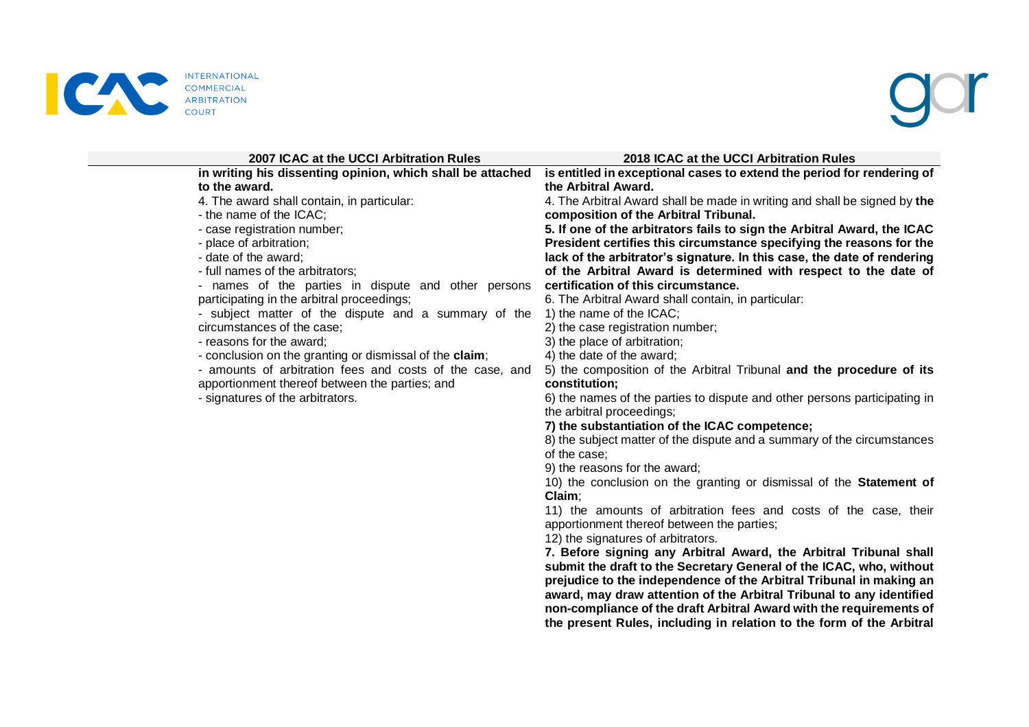



| 2007 ICAC at the UCCI Arbitration Rules                    | 2018 ICAC at the UCCI Arbitration Rules                                                                |
|------------------------------------------------------------|--------------------------------------------------------------------------------------------------------|
| in writing his dissenting opinion, which shall be attached | is entitled in exceptional cases to extend the period for rendering of                                 |
| to the award.                                              | the Arbitral Award.                                                                                    |
| 4. The award shall contain, in particular:                 | 4. The Arbitral Award shall be made in writing and shall be signed by the                              |
| - the name of the ICAC;                                    | composition of the Arbitral Tribunal.                                                                  |
| - case registration number;                                | 5. If one of the arbitrators fails to sign the Arbitral Award, the ICAC                                |
| - place of arbitration;                                    | President certifies this circumstance specifying the reasons for the                                   |
| - date of the award;                                       | lack of the arbitrator's signature. In this case, the date of rendering                                |
| - full names of the arbitrators;                           | of the Arbitral Award is determined with respect to the date of                                        |
| - names of the parties in dispute and other persons        | certification of this circumstance.                                                                    |
| participating in the arbitral proceedings;                 | 6. The Arbitral Award shall contain, in particular:                                                    |
| - subject matter of the dispute and a summary of the       | 1) the name of the ICAC;                                                                               |
| circumstances of the case;                                 | 2) the case registration number;                                                                       |
| - reasons for the award;                                   | 3) the place of arbitration;                                                                           |
| - conclusion on the granting or dismissal of the claim;    | 4) the date of the award;                                                                              |
| - amounts of arbitration fees and costs of the case, and   | 5) the composition of the Arbitral Tribunal and the procedure of its                                   |
| apportionment thereof between the parties; and             | constitution;                                                                                          |
| - signatures of the arbitrators.                           | 6) the names of the parties to dispute and other persons participating in<br>the arbitral proceedings; |
|                                                            | 7) the substantiation of the ICAC competence;                                                          |
|                                                            | 8) the subject matter of the dispute and a summary of the circumstances                                |
|                                                            | of the case:                                                                                           |
|                                                            | 9) the reasons for the award;                                                                          |
|                                                            | 10) the conclusion on the granting or dismissal of the Statement of                                    |
|                                                            | Claim;                                                                                                 |
|                                                            | 11) the amounts of arbitration fees and costs of the case, their                                       |
|                                                            | apportionment thereof between the parties;                                                             |
|                                                            | 12) the signatures of arbitrators.                                                                     |
|                                                            | 7. Before signing any Arbitral Award, the Arbitral Tribunal shall                                      |
|                                                            | submit the draft to the Secretary General of the ICAC, who, without                                    |
|                                                            | prejudice to the independence of the Arbitral Tribunal in making an                                    |
|                                                            | award, may draw attention of the Arbitral Tribunal to any identified                                   |
|                                                            | non-compliance of the draft Arbitral Award with the requirements of                                    |
|                                                            | the present Rules, including in relation to the form of the Arbitral                                   |
|                                                            |                                                                                                        |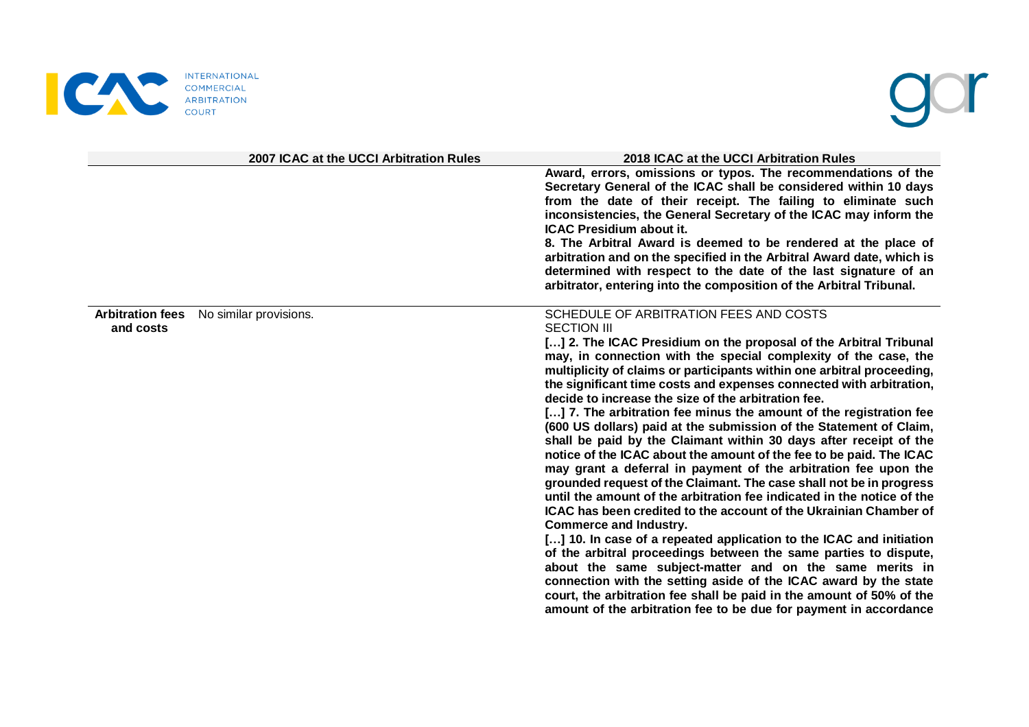

# gor

|                                      | 2007 ICAC at the UCCI Arbitration Rules | 2018 ICAC at the UCCI Arbitration Rules                                                                                                                                                                                                                                                                                                                                                                                                                                                                                                                                                                                                                                                                                                                                                                                                                                                                                                                                                                                                                                                                                                                                                                                                                                                                                                                                                                                                                      |
|--------------------------------------|-----------------------------------------|--------------------------------------------------------------------------------------------------------------------------------------------------------------------------------------------------------------------------------------------------------------------------------------------------------------------------------------------------------------------------------------------------------------------------------------------------------------------------------------------------------------------------------------------------------------------------------------------------------------------------------------------------------------------------------------------------------------------------------------------------------------------------------------------------------------------------------------------------------------------------------------------------------------------------------------------------------------------------------------------------------------------------------------------------------------------------------------------------------------------------------------------------------------------------------------------------------------------------------------------------------------------------------------------------------------------------------------------------------------------------------------------------------------------------------------------------------------|
|                                      |                                         | Award, errors, omissions or typos. The recommendations of the<br>Secretary General of the ICAC shall be considered within 10 days<br>from the date of their receipt. The failing to eliminate such<br>inconsistencies, the General Secretary of the ICAC may inform the<br><b>ICAC Presidium about it.</b><br>8. The Arbitral Award is deemed to be rendered at the place of<br>arbitration and on the specified in the Arbitral Award date, which is<br>determined with respect to the date of the last signature of an<br>arbitrator, entering into the composition of the Arbitral Tribunal.                                                                                                                                                                                                                                                                                                                                                                                                                                                                                                                                                                                                                                                                                                                                                                                                                                                              |
| <b>Arbitration fees</b><br>and costs | No similar provisions.                  | SCHEDULE OF ARBITRATION FEES AND COSTS<br><b>SECTION III</b><br>[] 2. The ICAC Presidium on the proposal of the Arbitral Tribunal<br>may, in connection with the special complexity of the case, the<br>multiplicity of claims or participants within one arbitral proceeding,<br>the significant time costs and expenses connected with arbitration,<br>decide to increase the size of the arbitration fee.<br>[] 7. The arbitration fee minus the amount of the registration fee<br>(600 US dollars) paid at the submission of the Statement of Claim,<br>shall be paid by the Claimant within 30 days after receipt of the<br>notice of the ICAC about the amount of the fee to be paid. The ICAC<br>may grant a deferral in payment of the arbitration fee upon the<br>grounded request of the Claimant. The case shall not be in progress<br>until the amount of the arbitration fee indicated in the notice of the<br><b>ICAC</b> has been credited to the account of the Ukrainian Chamber of<br><b>Commerce and Industry.</b><br>[] 10. In case of a repeated application to the ICAC and initiation<br>of the arbitral proceedings between the same parties to dispute,<br>about the same subject-matter and on the same merits in<br>connection with the setting aside of the ICAC award by the state<br>court, the arbitration fee shall be paid in the amount of 50% of the<br>amount of the arbitration fee to be due for payment in accordance |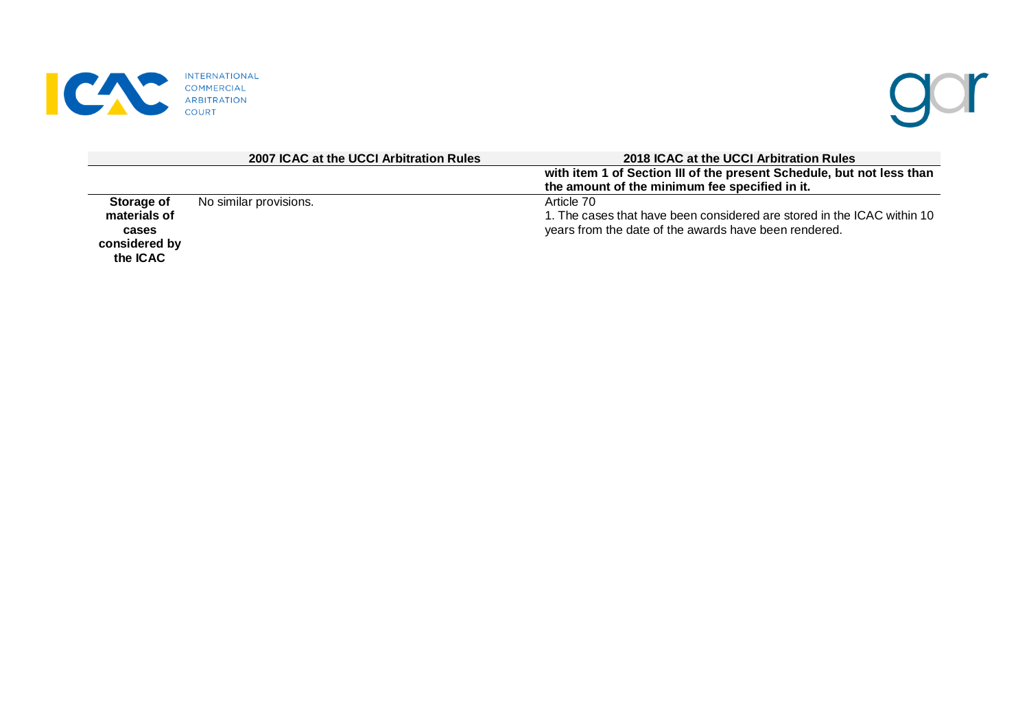



|                                                                  | 2007 ICAC at the UCCI Arbitration Rules | 2018 ICAC at the UCCI Arbitration Rules                                                                                                        |
|------------------------------------------------------------------|-----------------------------------------|------------------------------------------------------------------------------------------------------------------------------------------------|
|                                                                  |                                         | with item 1 of Section III of the present Schedule, but not less than                                                                          |
|                                                                  |                                         | the amount of the minimum fee specified in it.                                                                                                 |
| Storage of<br>materials of<br>cases<br>considered by<br>the ICAC | No similar provisions.                  | Article 70<br>1. The cases that have been considered are stored in the ICAC within 10<br>years from the date of the awards have been rendered. |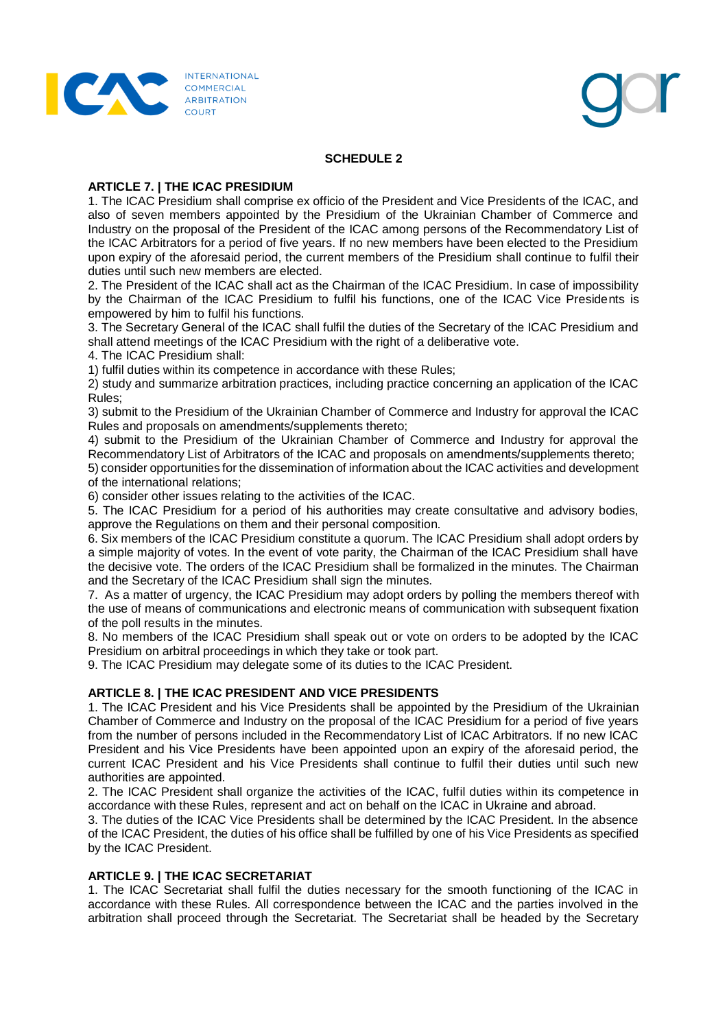



# **SCHEDULE 2**

## **ARTICLE 7. | THE ICAC PRESIDIUM**

1. The ICAC Presidium shall comprise ex officio of the President and Vice Presidents of the ICAC, and also of seven members appointed by the Presidium of the Ukrainian Chamber of Commerce and Industry on the proposal of the President of the ICAC among persons of the Recommendatory List of the ICAC Arbitrators for a period of five years. If no new members have been elected to the Presidium upon expiry of the aforesaid period, the current members of the Presidium shall continue to fulfil their duties until such new members are elected.

2. The President of the ICAC shall act as the Chairman of the ICAC Presidium. In case of impossibility by the Chairman of the ICAC Presidium to fulfil his functions, one of the ICAC Vice Presidents is empowered by him to fulfil his functions.

3. The Secretary General of the ICAC shall fulfil the duties of the Secretary of the ICAC Presidium and shall attend meetings of the ICAC Presidium with the right of a deliberative vote.

4. The ICAC Presidium shall:

1) fulfil duties within its competence in accordance with these Rules;

2) study and summarize arbitration practices, including practice concerning an application of the ICAC Rules;

3) submit to the Presidium of the Ukrainian Chamber of Commerce and Industry for approval the ICAC Rules and proposals on amendments/supplements thereto;

4) submit to the Presidium of the Ukrainian Chamber of Commerce and Industry for approval the Recommendatory List of Arbitrators of the ICAC and proposals on amendments/supplements thereto;

5) consider opportunities for the dissemination of information about the ICAC activities and development of the international relations;

6) consider other issues relating to the activities of the ICAC.

5. The ICAC Presidium for a period of his authorities may create consultative and advisory bodies, approve the Regulations on them and their personal composition.

6. Six members of the ICAC Presidium constitute a quorum. The ICAC Presidium shall adopt orders by a simple majority of votes. In the event of vote parity, the Chairman of the ICAC Presidium shall have the decisive vote. The orders of the ICAC Presidium shall be formalized in the minutes. The Chairman and the Secretary of the ICAC Presidium shall sign the minutes.

7. As a matter of urgency, the ICAC Presidium may adopt orders by polling the members thereof with the use of means of communications and electronic means of communication with subsequent fixation of the poll results in the minutes.

8. No members of the ICAC Presidium shall speak out or vote on orders to be adopted by the ICAC Presidium on arbitral proceedings in which they take or took part.

9. The ICAC Presidium may delegate some of its duties to the ICAC President.

# **ARTICLE 8. | THE ICAC PRESIDENT AND VICE PRESIDENTS**

1. The ICAC President and his Vice Presidents shall be appointed by the Presidium of the Ukrainian Chamber of Commerce and Industry on the proposal of the ICAC Presidium for a period of five years from the number of persons included in the Recommendatory List of ICAC Arbitrators. If no new ICAC President and his Vice Presidents have been appointed upon an expiry of the aforesaid period, the current ICAC President and his Vice Presidents shall continue to fulfil their duties until such new authorities are appointed.

2. The ICAC President shall organize the activities of the ICAC, fulfil duties within its competence in accordance with these Rules, represent and act on behalf on the ICAC in Ukraine and abroad.

3. The duties of the ICAC Vice Presidents shall be determined by the ICAC President. In the absence of the ICAC President, the duties of his office shall be fulfilled by one of his Vice Presidents as specified by the ICAC President.

# **ARTICLE 9. | THE ICAC SECRETARIAT**

1. The ICAC Secretariat shall fulfil the duties necessary for the smooth functioning of the ICAC in accordance with these Rules. All correspondence between the ICAC and the parties involved in the arbitration shall proceed through the Secretariat. The Secretariat shall be headed by the Secretary